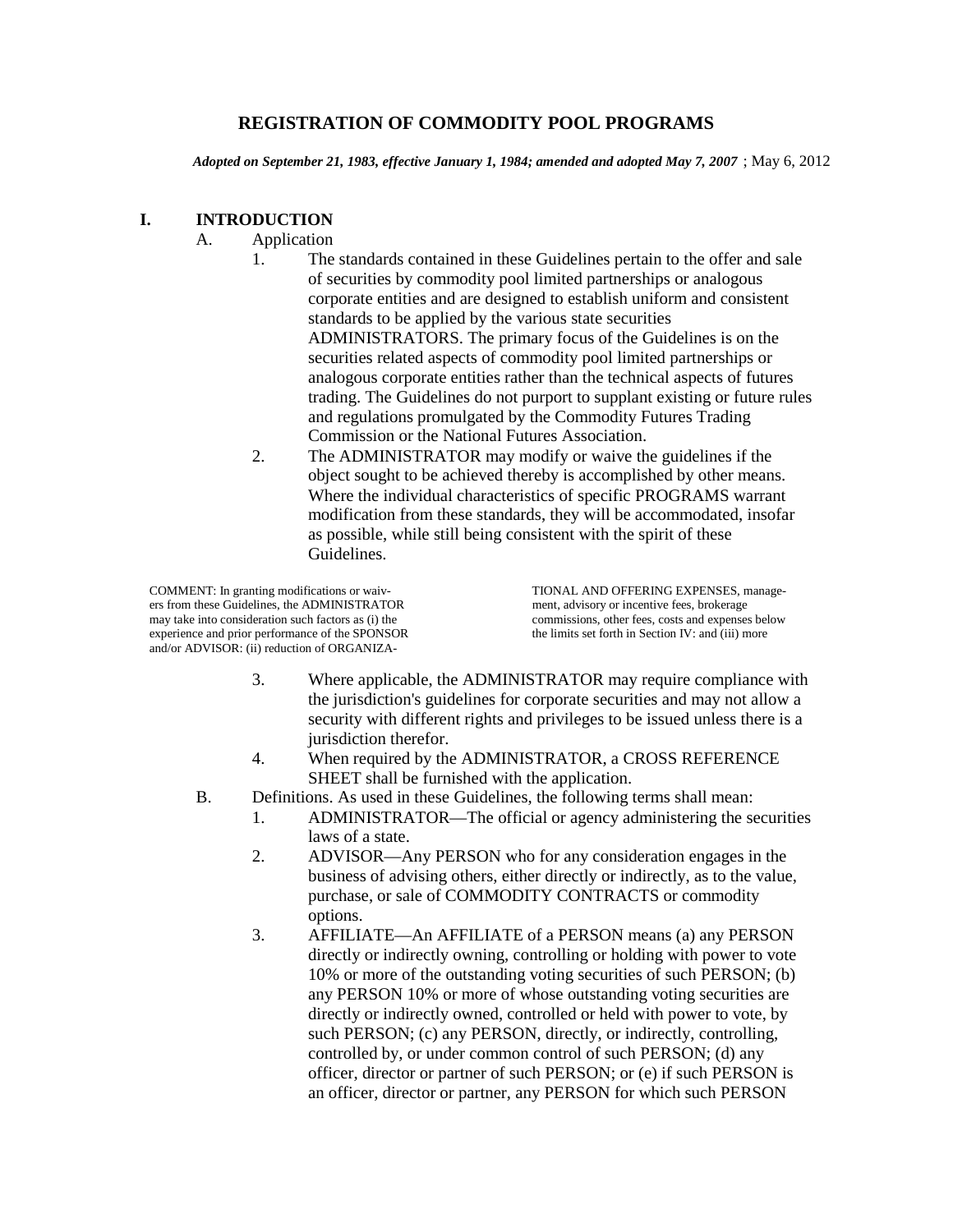#### **REGISTRATION OF COMMODITY POOL PROGRAMS**

*Adopted on September 21, 1983, effective January 1, 1984; amended and adopted May 7, 2007* ; May 6, 2012

#### **I. INTRODUCTION**

- A. Application
	- 1. The standards contained in these Guidelines pertain to the offer and sale of securities by commodity pool limited partnerships or analogous corporate entities and are designed to establish uniform and consistent standards to be applied by the various state securities ADMINISTRATORS. The primary focus of the Guidelines is on the securities related aspects of commodity pool limited partnerships or analogous corporate entities rather than the technical aspects of futures trading. The Guidelines do not purport to supplant existing or future rules and regulations promulgated by the Commodity Futures Trading Commission or the National Futures Association.
	- 2. The ADMINISTRATOR may modify or waive the guidelines if the object sought to be achieved thereby is accomplished by other means. Where the individual characteristics of specific PROGRAMS warrant modification from these standards, they will be accommodated, insofar as possible, while still being consistent with the spirit of these Guidelines.

COMMENT: In granting modifications or waiv-<br>
ers from these Guidelines, the ADMINISTRATOR<br>
ment, advisory or incentive fees, brokerage ers from these Guidelines, the ADMINISTRATOR may take into consideration such factors as (i) the commissions, other fees, costs and expenses below experience and prior performance of the SPONSOR the limits set forth in Section IV: and (iii) more experience and prior performance of the SPONSOR and/or ADVISOR: (ii) reduction of ORGANIZA-

- 3. Where applicable, the ADMINISTRATOR may require compliance with the jurisdiction's guidelines for corporate securities and may not allow a security with different rights and privileges to be issued unless there is a jurisdiction therefor.
- 4. When required by the ADMINISTRATOR, a CROSS REFERENCE SHEET shall be furnished with the application.
- B. Definitions. As used in these Guidelines, the following terms shall mean:
	- 1. ADMINISTRATOR—The official or agency administering the securities laws of a state.
	- 2. ADVISOR—Any PERSON who for any consideration engages in the business of advising others, either directly or indirectly, as to the value, purchase, or sale of COMMODITY CONTRACTS or commodity options.
	- 3. AFFILIATE—An AFFILIATE of a PERSON means (a) any PERSON directly or indirectly owning, controlling or holding with power to vote 10% or more of the outstanding voting securities of such PERSON; (b) any PERSON 10% or more of whose outstanding voting securities are directly or indirectly owned, controlled or held with power to vote, by such PERSON; (c) any PERSON, directly, or indirectly, controlling, controlled by, or under common control of such PERSON; (d) any officer, director or partner of such PERSON; or (e) if such PERSON is an officer, director or partner, any PERSON for which such PERSON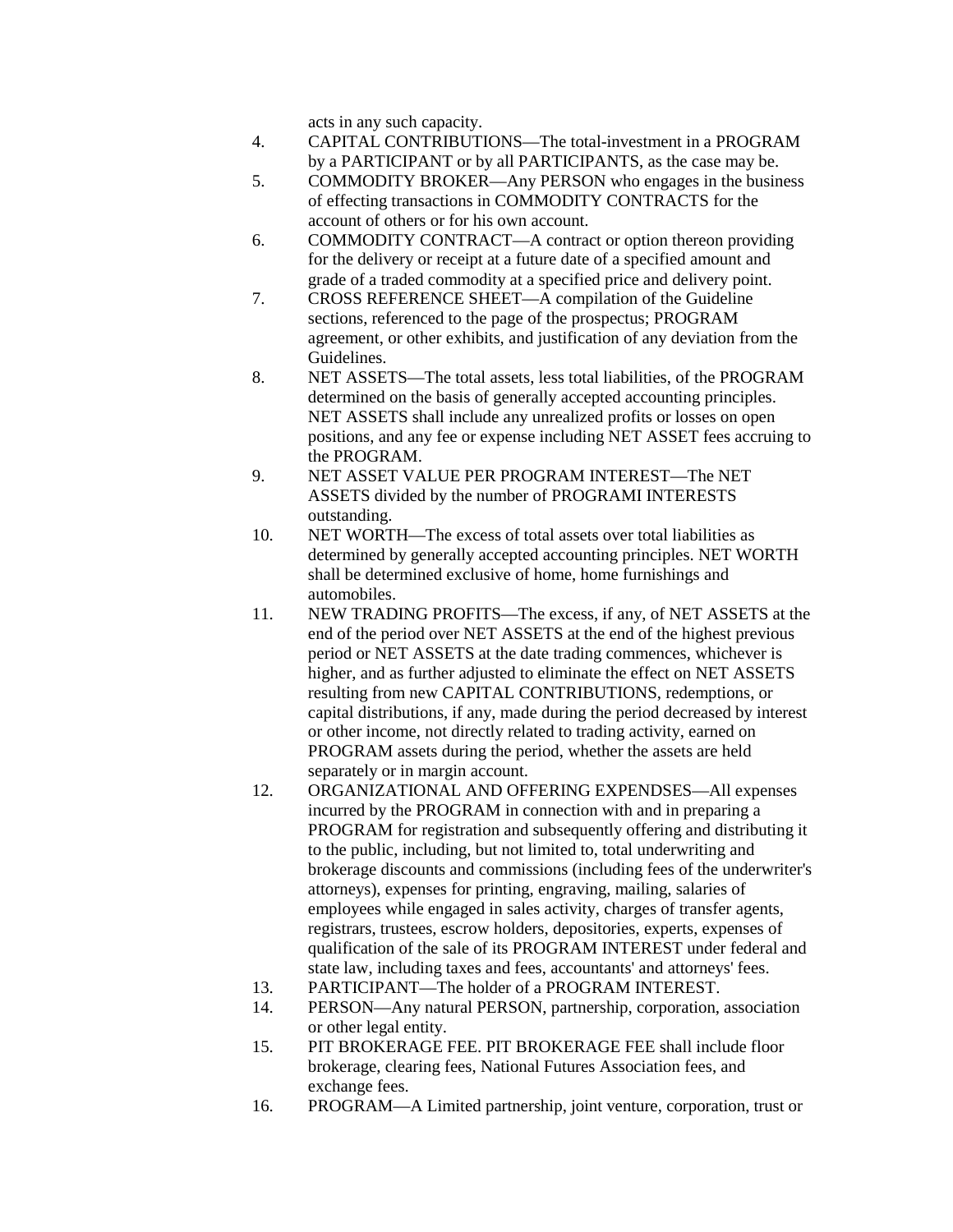acts in any such capacity.

- 4. CAPITAL CONTRIBUTIONS—The total-investment in a PROGRAM by a PARTICIPANT or by all PARTICIPANTS, as the case may be.
- 5. COMMODITY BROKER—Any PERSON who engages in the business of effecting transactions in COMMODITY CONTRACTS for the account of others or for his own account.
- 6. COMMODITY CONTRACT—A contract or option thereon providing for the delivery or receipt at a future date of a specified amount and grade of a traded commodity at a specified price and delivery point.
- 7. CROSS REFERENCE SHEET—A compilation of the Guideline sections, referenced to the page of the prospectus; PROGRAM agreement, or other exhibits, and justification of any deviation from the Guidelines.
- 8. NET ASSETS—The total assets, less total liabilities, of the PROGRAM determined on the basis of generally accepted accounting principles. NET ASSETS shall include any unrealized profits or losses on open positions, and any fee or expense including NET ASSET fees accruing to the PROGRAM.
- 9. NET ASSET VALUE PER PROGRAM INTEREST—The NET ASSETS divided by the number of PROGRAMI INTERESTS outstanding.
- 10. NET WORTH—The excess of total assets over total liabilities as determined by generally accepted accounting principles. NET WORTH shall be determined exclusive of home, home furnishings and automobiles.
- 11. NEW TRADING PROFITS—The excess, if any, of NET ASSETS at the end of the period over NET ASSETS at the end of the highest previous period or NET ASSETS at the date trading commences, whichever is higher, and as further adjusted to eliminate the effect on NET ASSETS resulting from new CAPITAL CONTRIBUTIONS, redemptions, or capital distributions, if any, made during the period decreased by interest or other income, not directly related to trading activity, earned on PROGRAM assets during the period, whether the assets are held separately or in margin account.
- 12. ORGANIZATIONAL AND OFFERING EXPENDSES—All expenses incurred by the PROGRAM in connection with and in preparing a PROGRAM for registration and subsequently offering and distributing it to the public, including, but not limited to, total underwriting and brokerage discounts and commissions (including fees of the underwriter's attorneys), expenses for printing, engraving, mailing, salaries of employees while engaged in sales activity, charges of transfer agents, registrars, trustees, escrow holders, depositories, experts, expenses of qualification of the sale of its PROGRAM INTEREST under federal and state law, including taxes and fees, accountants' and attorneys' fees.
- 13. PARTICIPANT—The holder of a PROGRAM INTEREST.
- 14. PERSON—Any natural PERSON, partnership, corporation, association or other legal entity.
- 15. PIT BROKERAGE FEE. PIT BROKERAGE FEE shall include floor brokerage, clearing fees, National Futures Association fees, and exchange fees.
- 16. PROGRAM—A Limited partnership, joint venture, corporation, trust or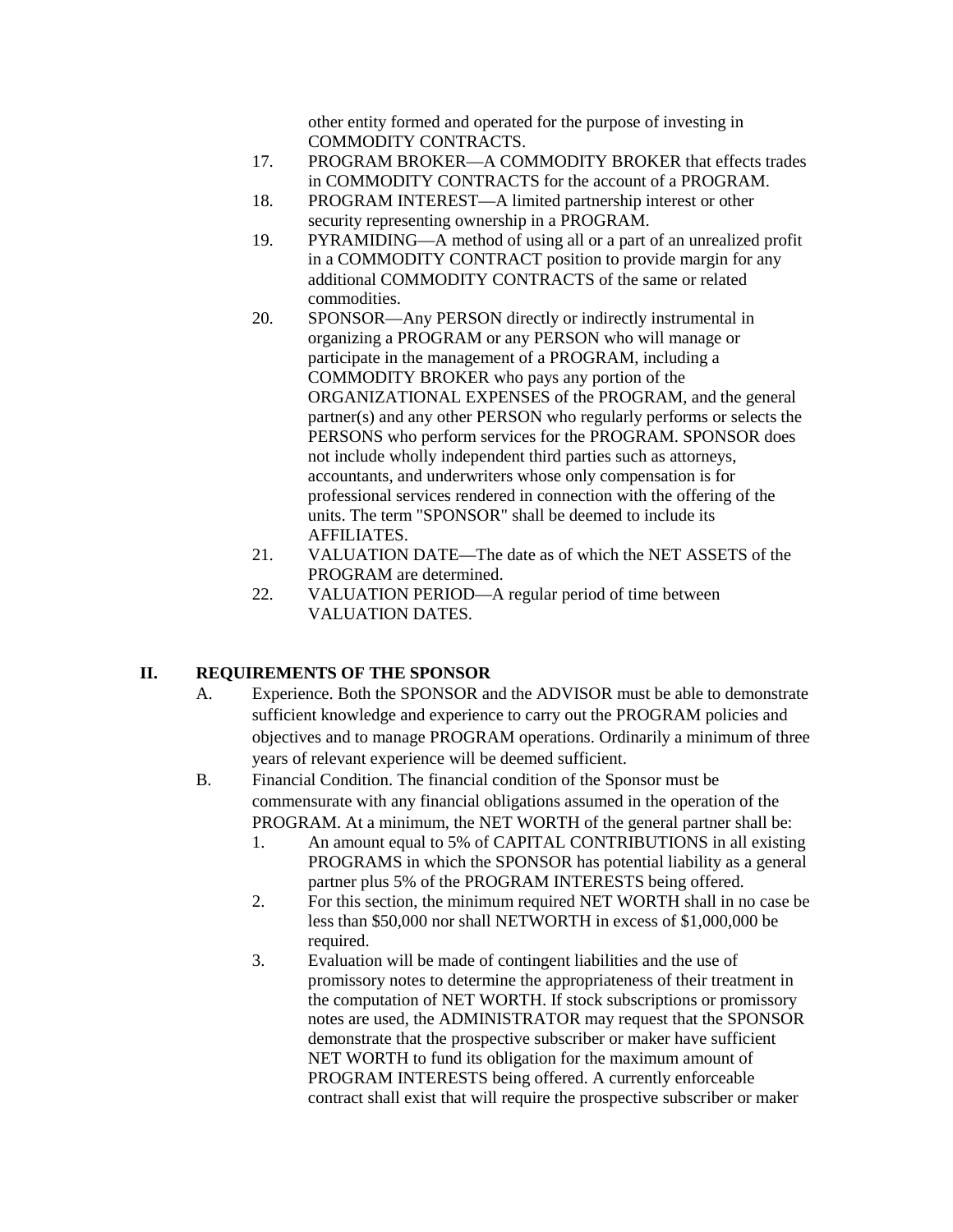other entity formed and operated for the purpose of investing in COMMODITY CONTRACTS.

- 17. PROGRAM BROKER—A COMMODITY BROKER that effects trades in COMMODITY CONTRACTS for the account of a PROGRAM.
- 18. PROGRAM INTEREST—A limited partnership interest or other security representing ownership in a PROGRAM.
- 19. PYRAMIDING—A method of using all or a part of an unrealized profit in a COMMODITY CONTRACT position to provide margin for any additional COMMODITY CONTRACTS of the same or related commodities.
- 20. SPONSOR—Any PERSON directly or indirectly instrumental in organizing a PROGRAM or any PERSON who will manage or participate in the management of a PROGRAM, including a COMMODITY BROKER who pays any portion of the ORGANIZATIONAL EXPENSES of the PROGRAM, and the general partner(s) and any other PERSON who regularly performs or selects the PERSONS who perform services for the PROGRAM. SPONSOR does not include wholly independent third parties such as attorneys, accountants, and underwriters whose only compensation is for professional services rendered in connection with the offering of the units. The term "SPONSOR" shall be deemed to include its AFFILIATES.
- 21. VALUATION DATE—The date as of which the NET ASSETS of the PROGRAM are determined.
- 22. VALUATION PERIOD—A regular period of time between VALUATION DATES.

## **II. REQUIREMENTS OF THE SPONSOR**

- A. Experience. Both the SPONSOR and the ADVISOR must be able to demonstrate sufficient knowledge and experience to carry out the PROGRAM policies and objectives and to manage PROGRAM operations. Ordinarily a minimum of three years of relevant experience will be deemed sufficient.
- B. Financial Condition. The financial condition of the Sponsor must be commensurate with any financial obligations assumed in the operation of the PROGRAM. At a minimum, the NET WORTH of the general partner shall be:
	- 1. An amount equal to 5% of CAPITAL CONTRIBUTIONS in all existing PROGRAMS in which the SPONSOR has potential liability as a general partner plus 5% of the PROGRAM INTERESTS being offered.
	- 2. For this section, the minimum required NET WORTH shall in no case be less than \$50,000 nor shall NETWORTH in excess of \$1,000,000 be required.
	- 3. Evaluation will be made of contingent liabilities and the use of promissory notes to determine the appropriateness of their treatment in the computation of NET WORTH. If stock subscriptions or promissory notes are used, the ADMINISTRATOR may request that the SPONSOR demonstrate that the prospective subscriber or maker have sufficient NET WORTH to fund its obligation for the maximum amount of PROGRAM INTERESTS being offered. A currently enforceable contract shall exist that will require the prospective subscriber or maker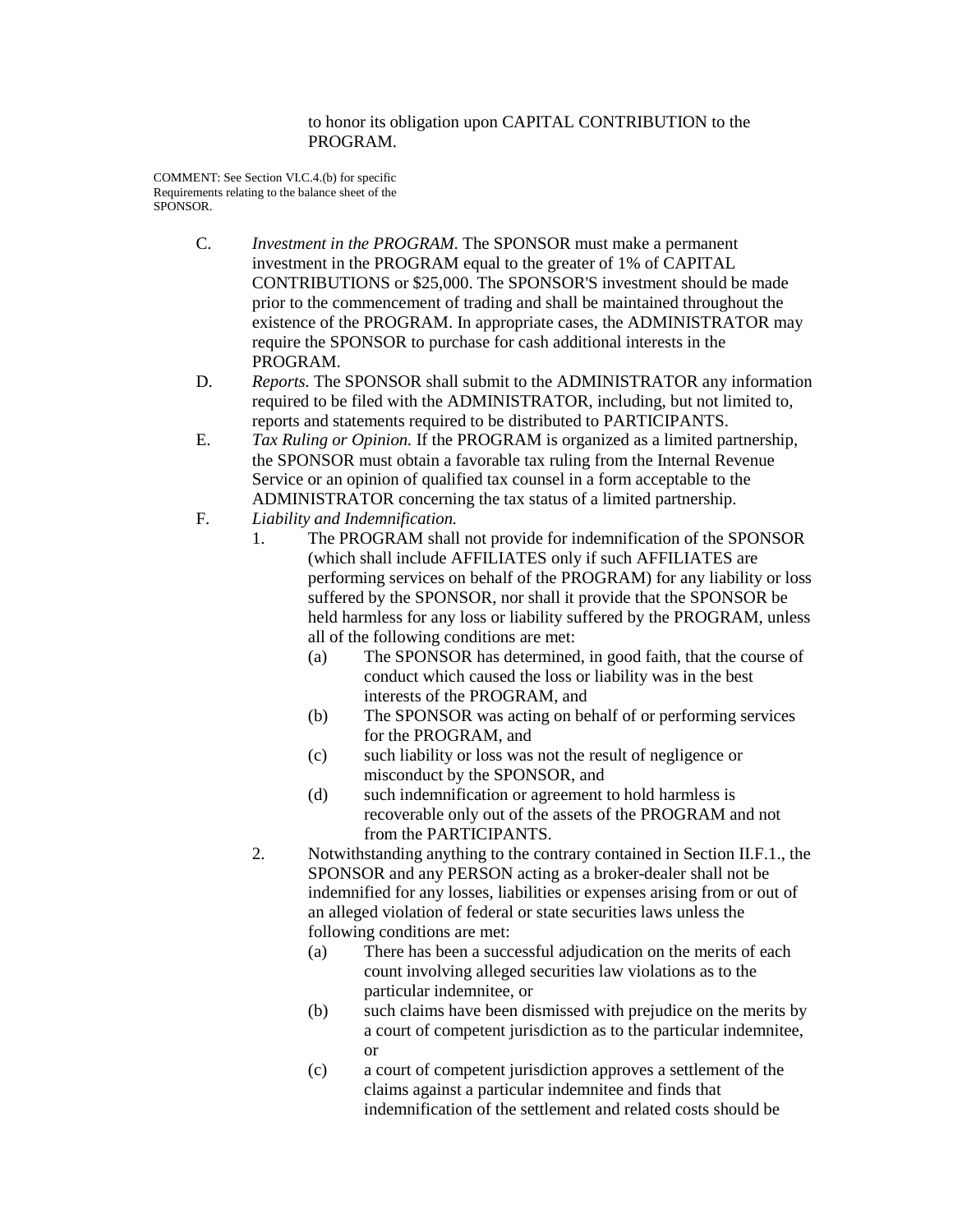to honor its obligation upon CAPITAL CONTRIBUTION to the PROGRAM.

COMMENT: See Section VI.C.4.(b) for specific Requirements relating to the balance sheet of the SPONSOR.

- C. *Investment in the PROGRAM.* The SPONSOR must make a permanent investment in the PROGRAM equal to the greater of 1% of CAPITAL CONTRIBUTIONS or \$25,000. The SPONSOR'S investment should be made prior to the commencement of trading and shall be maintained throughout the existence of the PROGRAM. In appropriate cases, the ADMINISTRATOR may require the SPONSOR to purchase for cash additional interests in the PROGRAM.
- D. *Reports.* The SPONSOR shall submit to the ADMINISTRATOR any information required to be filed with the ADMINISTRATOR, including, but not limited to, reports and statements required to be distributed to PARTICIPANTS.
- E. *Tax Ruling or Opinion.* If the PROGRAM is organized as a limited partnership, the SPONSOR must obtain a favorable tax ruling from the Internal Revenue Service or an opinion of qualified tax counsel in a form acceptable to the ADMINISTRATOR concerning the tax status of a limited partnership.
- F. *Liability and Indemnification.*
	- 1. The PROGRAM shall not provide for indemnification of the SPONSOR (which shall include AFFILIATES only if such AFFILIATES are performing services on behalf of the PROGRAM) for any liability or loss suffered by the SPONSOR, nor shall it provide that the SPONSOR be held harmless for any loss or liability suffered by the PROGRAM, unless all of the following conditions are met:
		- (a) The SPONSOR has determined, in good faith, that the course of conduct which caused the loss or liability was in the best interests of the PROGRAM, and
		- (b) The SPONSOR was acting on behalf of or performing services for the PROGRAM, and
		- (c) such liability or loss was not the result of negligence or misconduct by the SPONSOR, and
		- (d) such indemnification or agreement to hold harmless is recoverable only out of the assets of the PROGRAM and not from the PARTICIPANTS.
	- 2. Notwithstanding anything to the contrary contained in Section II.F.1., the SPONSOR and any PERSON acting as a broker-dealer shall not be indemnified for any losses, liabilities or expenses arising from or out of an alleged violation of federal or state securities laws unless the following conditions are met:
		- (a) There has been a successful adjudication on the merits of each count involving alleged securities law violations as to the particular indemnitee, or
		- (b) such claims have been dismissed with prejudice on the merits by a court of competent jurisdiction as to the particular indemnitee, or
		- (c) a court of competent jurisdiction approves a settlement of the claims against a particular indemnitee and finds that indemnification of the settlement and related costs should be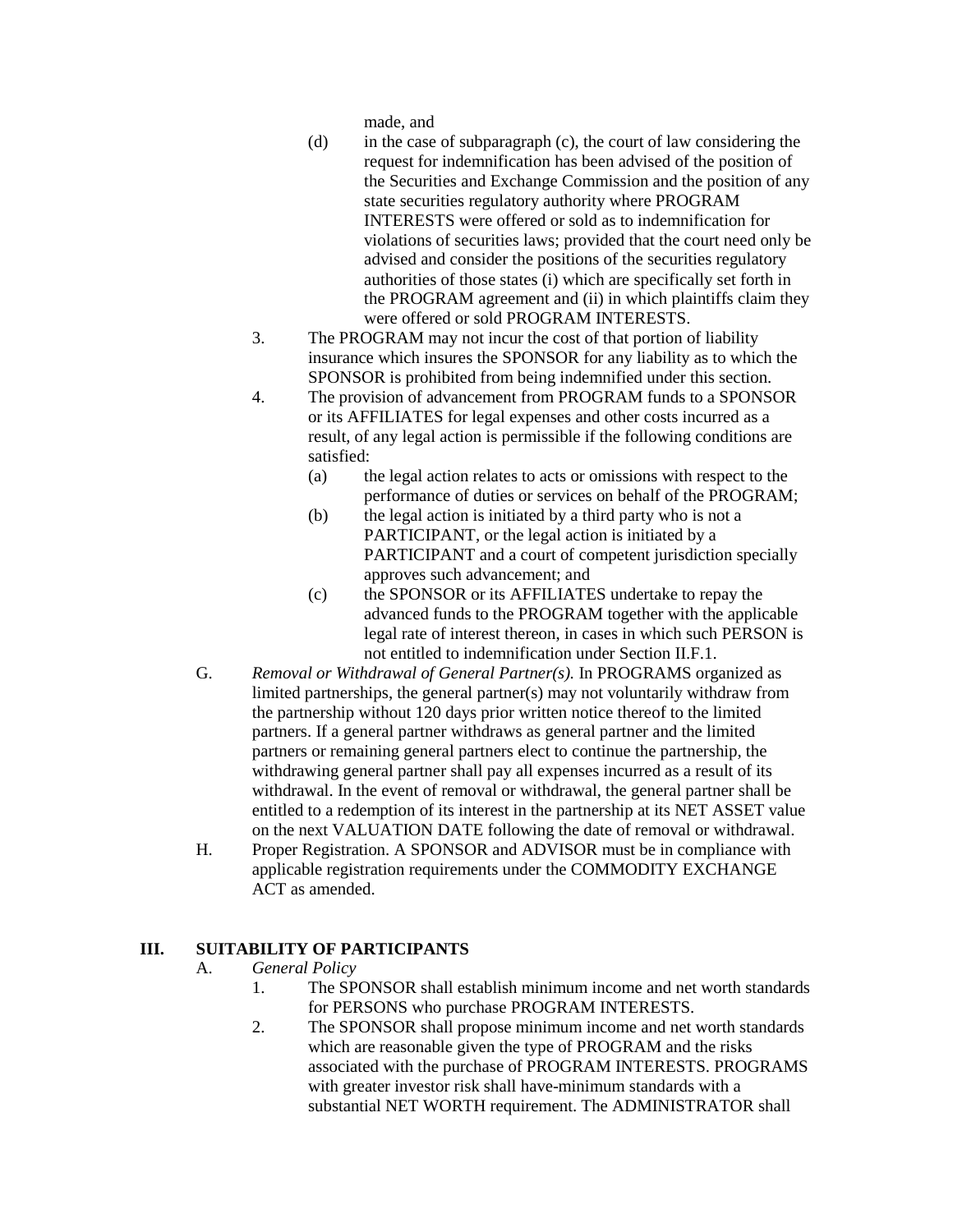made, and

- (d) in the case of subparagraph (c), the court of law considering the request for indemnification has been advised of the position of the Securities and Exchange Commission and the position of any state securities regulatory authority where PROGRAM INTERESTS were offered or sold as to indemnification for violations of securities laws; provided that the court need only be advised and consider the positions of the securities regulatory authorities of those states (i) which are specifically set forth in the PROGRAM agreement and (ii) in which plaintiffs claim they were offered or sold PROGRAM INTERESTS.
- 3. The PROGRAM may not incur the cost of that portion of liability insurance which insures the SPONSOR for any liability as to which the SPONSOR is prohibited from being indemnified under this section.
- 4. The provision of advancement from PROGRAM funds to a SPONSOR or its AFFILIATES for legal expenses and other costs incurred as a result, of any legal action is permissible if the following conditions are satisfied:
	- (a) the legal action relates to acts or omissions with respect to the performance of duties or services on behalf of the PROGRAM;
	- (b) the legal action is initiated by a third party who is not a PARTICIPANT, or the legal action is initiated by a PARTICIPANT and a court of competent jurisdiction specially approves such advancement; and
	- (c) the SPONSOR or its AFFILIATES undertake to repay the advanced funds to the PROGRAM together with the applicable legal rate of interest thereon, in cases in which such PERSON is not entitled to indemnification under Section II.F.1.
- G. *Removal or Withdrawal of General Partner(s).* In PROGRAMS organized as limited partnerships, the general partner(s) may not voluntarily withdraw from the partnership without 120 days prior written notice thereof to the limited partners. If a general partner withdraws as general partner and the limited partners or remaining general partners elect to continue the partnership, the withdrawing general partner shall pay all expenses incurred as a result of its withdrawal. In the event of removal or withdrawal, the general partner shall be entitled to a redemption of its interest in the partnership at its NET ASSET value on the next VALUATION DATE following the date of removal or withdrawal.
- H. Proper Registration. A SPONSOR and ADVISOR must be in compliance with applicable registration requirements under the COMMODITY EXCHANGE ACT as amended.

## **III. SUITABILITY OF PARTICIPANTS**

- A. *General Policy*
	- 1. The SPONSOR shall establish minimum income and net worth standards for PERSONS who purchase PROGRAM INTERESTS.
	- 2. The SPONSOR shall propose minimum income and net worth standards which are reasonable given the type of PROGRAM and the risks associated with the purchase of PROGRAM INTERESTS. PROGRAMS with greater investor risk shall have-minimum standards with a substantial NET WORTH requirement. The ADMINISTRATOR shall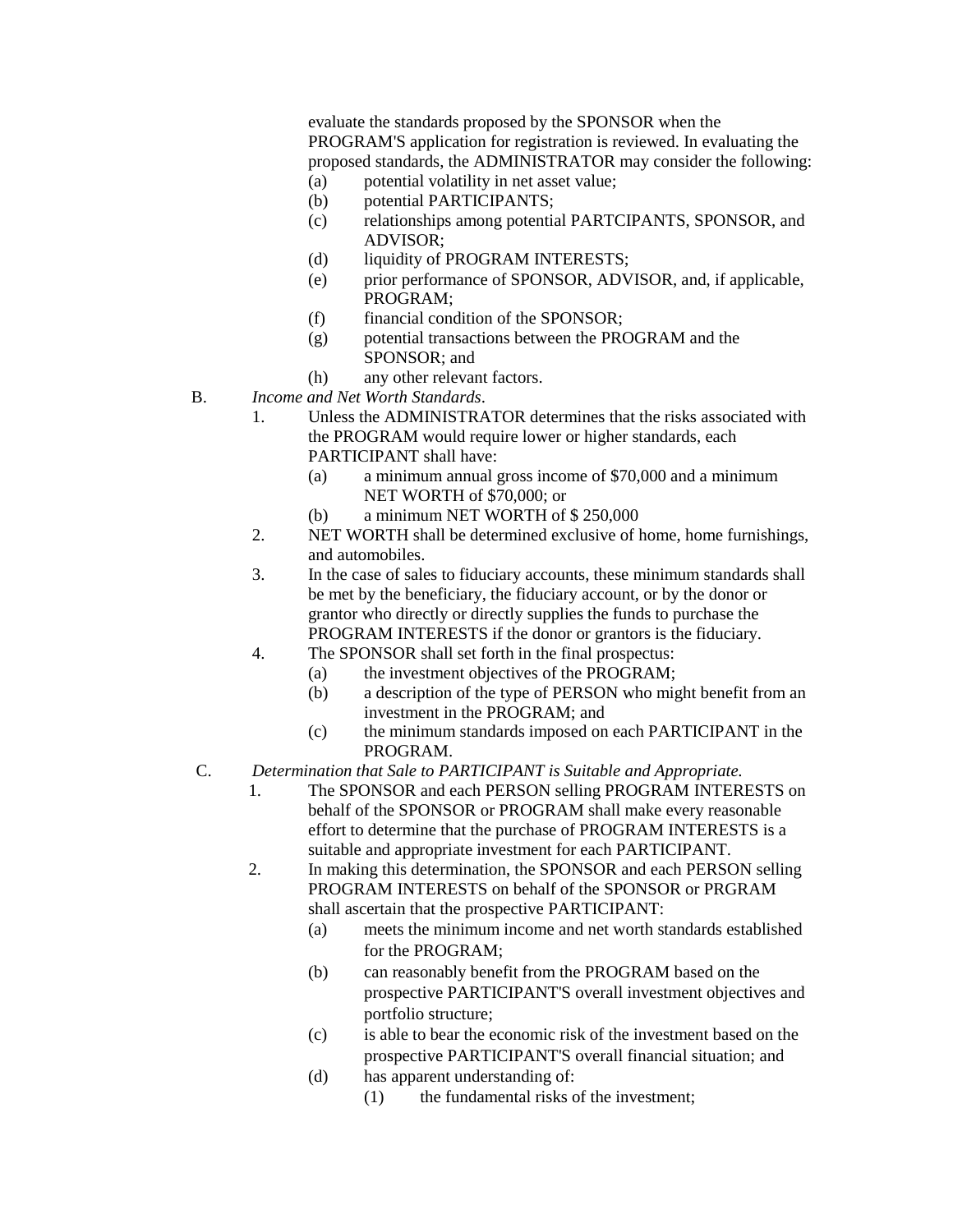evaluate the standards proposed by the SPONSOR when the PROGRAM'S application for registration is reviewed. In evaluating the proposed standards, the ADMINISTRATOR may consider the following:

- (a) potential volatility in net asset value;
- (b) potential PARTICIPANTS;
- (c) relationships among potential PARTCIPANTS, SPONSOR, and ADVISOR;
- (d) liquidity of PROGRAM INTERESTS;
- (e) prior performance of SPONSOR, ADVISOR, and, if applicable, PROGRAM;
- (f) financial condition of the SPONSOR;
- (g) potential transactions between the PROGRAM and the SPONSOR; and
- (h) any other relevant factors.
- B. *Income and Net Worth Standards*.
	- 1. Unless the ADMINISTRATOR determines that the risks associated with the PROGRAM would require lower or higher standards, each PARTICIPANT shall have:
		- (a) a minimum annual gross income of \$70,000 and a minimum NET WORTH of \$70,000; or
		- (b) a minimum NET WORTH of \$ 250,000
	- 2. NET WORTH shall be determined exclusive of home, home furnishings, and automobiles.
	- 3. In the case of sales to fiduciary accounts, these minimum standards shall be met by the beneficiary, the fiduciary account, or by the donor or grantor who directly or directly supplies the funds to purchase the PROGRAM INTERESTS if the donor or grantors is the fiduciary.
	- 4. The SPONSOR shall set forth in the final prospectus:
		- (a) the investment objectives of the PROGRAM;
		- (b) a description of the type of PERSON who might benefit from an investment in the PROGRAM; and
		- (c) the minimum standards imposed on each PARTICIPANT in the PROGRAM.
- C. *Determination that Sale to PARTICIPANT is Suitable and Appropriate.*
	- 1. The SPONSOR and each PERSON selling PROGRAM INTERESTS on behalf of the SPONSOR or PROGRAM shall make every reasonable effort to determine that the purchase of PROGRAM INTERESTS is a suitable and appropriate investment for each PARTICIPANT.
	- 2. In making this determination, the SPONSOR and each PERSON selling PROGRAM INTERESTS on behalf of the SPONSOR or PRGRAM shall ascertain that the prospective PARTICIPANT:
		- (a) meets the minimum income and net worth standards established for the PROGRAM;
		- (b) can reasonably benefit from the PROGRAM based on the prospective PARTICIPANT'S overall investment objectives and portfolio structure;
		- (c) is able to bear the economic risk of the investment based on the prospective PARTICIPANT'S overall financial situation; and
		- (d) has apparent understanding of:
			- (1) the fundamental risks of the investment;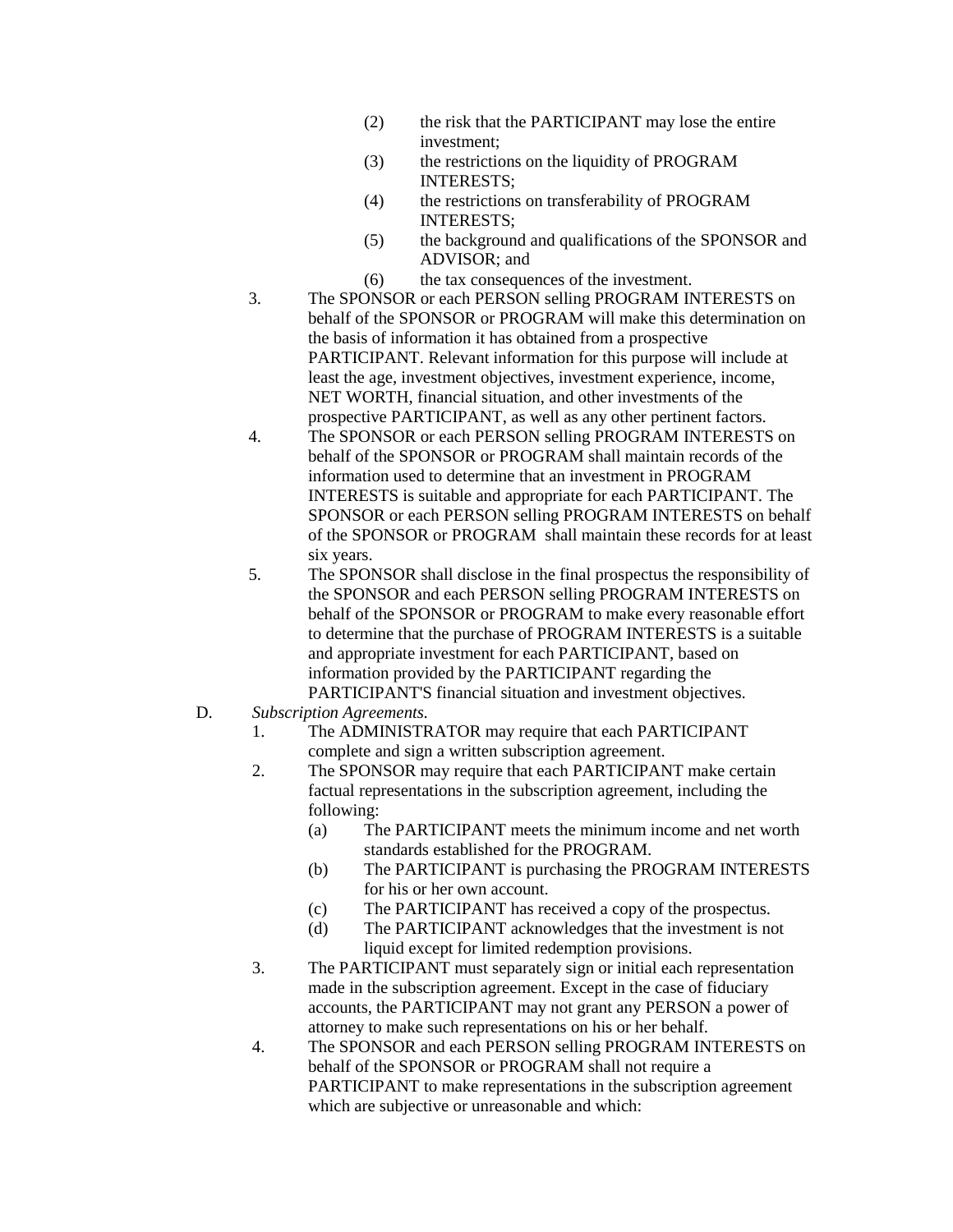- (2) the risk that the PARTICIPANT may lose the entire investment;
- (3) the restrictions on the liquidity of PROGRAM INTERESTS;
- (4) the restrictions on transferability of PROGRAM INTERESTS;
- (5) the background and qualifications of the SPONSOR and ADVISOR; and
- (6) the tax consequences of the investment.
- 3. The SPONSOR or each PERSON selling PROGRAM INTERESTS on behalf of the SPONSOR or PROGRAM will make this determination on the basis of information it has obtained from a prospective PARTICIPANT. Relevant information for this purpose will include at least the age, investment objectives, investment experience, income, NET WORTH, financial situation, and other investments of the prospective PARTICIPANT, as well as any other pertinent factors.
- 4. The SPONSOR or each PERSON selling PROGRAM INTERESTS on behalf of the SPONSOR or PROGRAM shall maintain records of the information used to determine that an investment in PROGRAM INTERESTS is suitable and appropriate for each PARTICIPANT. The SPONSOR or each PERSON selling PROGRAM INTERESTS on behalf of the SPONSOR or PROGRAM shall maintain these records for at least six years.
- 5. The SPONSOR shall disclose in the final prospectus the responsibility of the SPONSOR and each PERSON selling PROGRAM INTERESTS on behalf of the SPONSOR or PROGRAM to make every reasonable effort to determine that the purchase of PROGRAM INTERESTS is a suitable and appropriate investment for each PARTICIPANT, based on information provided by the PARTICIPANT regarding the PARTICIPANT'S financial situation and investment objectives.
- D. *Subscription Agreements.*
	- 1. The ADMINISTRATOR may require that each PARTICIPANT complete and sign a written subscription agreement.
	- 2. The SPONSOR may require that each PARTICIPANT make certain factual representations in the subscription agreement, including the following:
		- (a) The PARTICIPANT meets the minimum income and net worth standards established for the PROGRAM.
		- (b) The PARTICIPANT is purchasing the PROGRAM INTERESTS for his or her own account.
		- (c) The PARTICIPANT has received a copy of the prospectus.
		- (d) The PARTICIPANT acknowledges that the investment is not liquid except for limited redemption provisions.
	- 3. The PARTICIPANT must separately sign or initial each representation made in the subscription agreement. Except in the case of fiduciary accounts, the PARTICIPANT may not grant any PERSON a power of attorney to make such representations on his or her behalf.
	- 4. The SPONSOR and each PERSON selling PROGRAM INTERESTS on behalf of the SPONSOR or PROGRAM shall not require a PARTICIPANT to make representations in the subscription agreement which are subjective or unreasonable and which: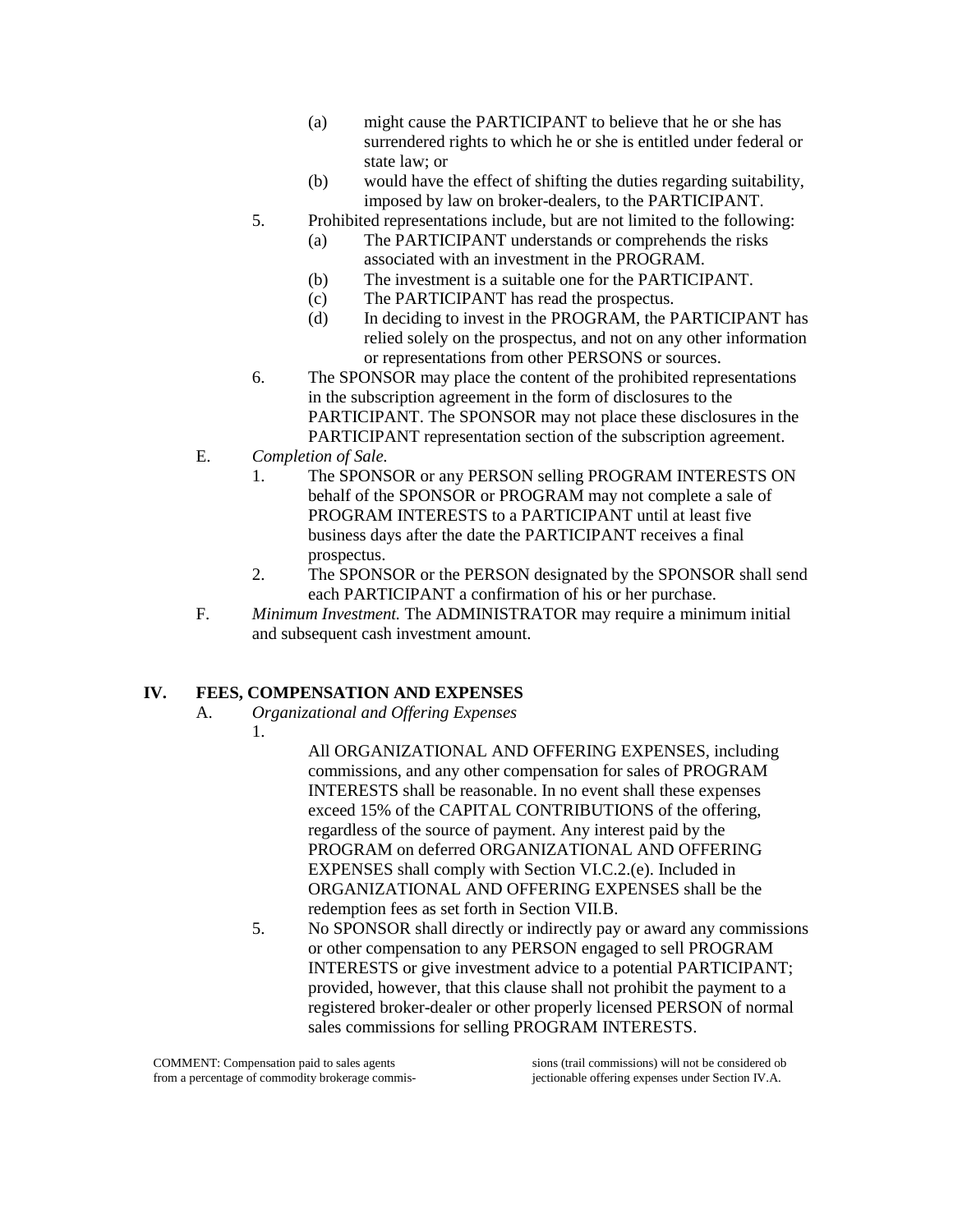- (a) might cause the PARTICIPANT to believe that he or she has surrendered rights to which he or she is entitled under federal or state law; or
- (b) would have the effect of shifting the duties regarding suitability, imposed by law on broker-dealers, to the PARTICIPANT.
- 5. Prohibited representations include, but are not limited to the following:
	- (a) The PARTICIPANT understands or comprehends the risks associated with an investment in the PROGRAM.
	- (b) The investment is a suitable one for the PARTICIPANT.
	- (c) The PARTICIPANT has read the prospectus.
	- (d) In deciding to invest in the PROGRAM, the PARTICIPANT has relied solely on the prospectus, and not on any other information or representations from other PERSONS or sources.
- 6. The SPONSOR may place the content of the prohibited representations in the subscription agreement in the form of disclosures to the PARTICIPANT. The SPONSOR may not place these disclosures in the PARTICIPANT representation section of the subscription agreement.
- E. *Completion of Sale.*
	- 1. The SPONSOR or any PERSON selling PROGRAM INTERESTS ON behalf of the SPONSOR or PROGRAM may not complete a sale of PROGRAM INTERESTS to a PARTICIPANT until at least five business days after the date the PARTICIPANT receives a final prospectus.
	- 2. The SPONSOR or the PERSON designated by the SPONSOR shall send each PARTICIPANT a confirmation of his or her purchase.
- F. *Minimum Investment.* The ADMINISTRATOR may require a minimum initial and subsequent cash investment amount.

## **IV. FEES, COMPENSATION AND EXPENSES**

- A. *Organizational and Offering Expenses*
	- 1.

All ORGANIZATIONAL AND OFFERING EXPENSES, including commissions, and any other compensation for sales of PROGRAM INTERESTS shall be reasonable. In no event shall these expenses exceed 15% of the CAPITAL CONTRIBUTIONS of the offering, regardless of the source of payment. Any interest paid by the PROGRAM on deferred ORGANIZATIONAL AND OFFERING EXPENSES shall comply with Section VI.C.2.(e). Included in ORGANIZATIONAL AND OFFERING EXPENSES shall be the redemption fees as set forth in Section VII.B.

5. No SPONSOR shall directly or indirectly pay or award any commissions or other compensation to any PERSON engaged to sell PROGRAM INTERESTS or give investment advice to a potential PARTICIPANT; provided, however, that this clause shall not prohibit the payment to a registered broker-dealer or other properly licensed PERSON of normal sales commissions for selling PROGRAM INTERESTS.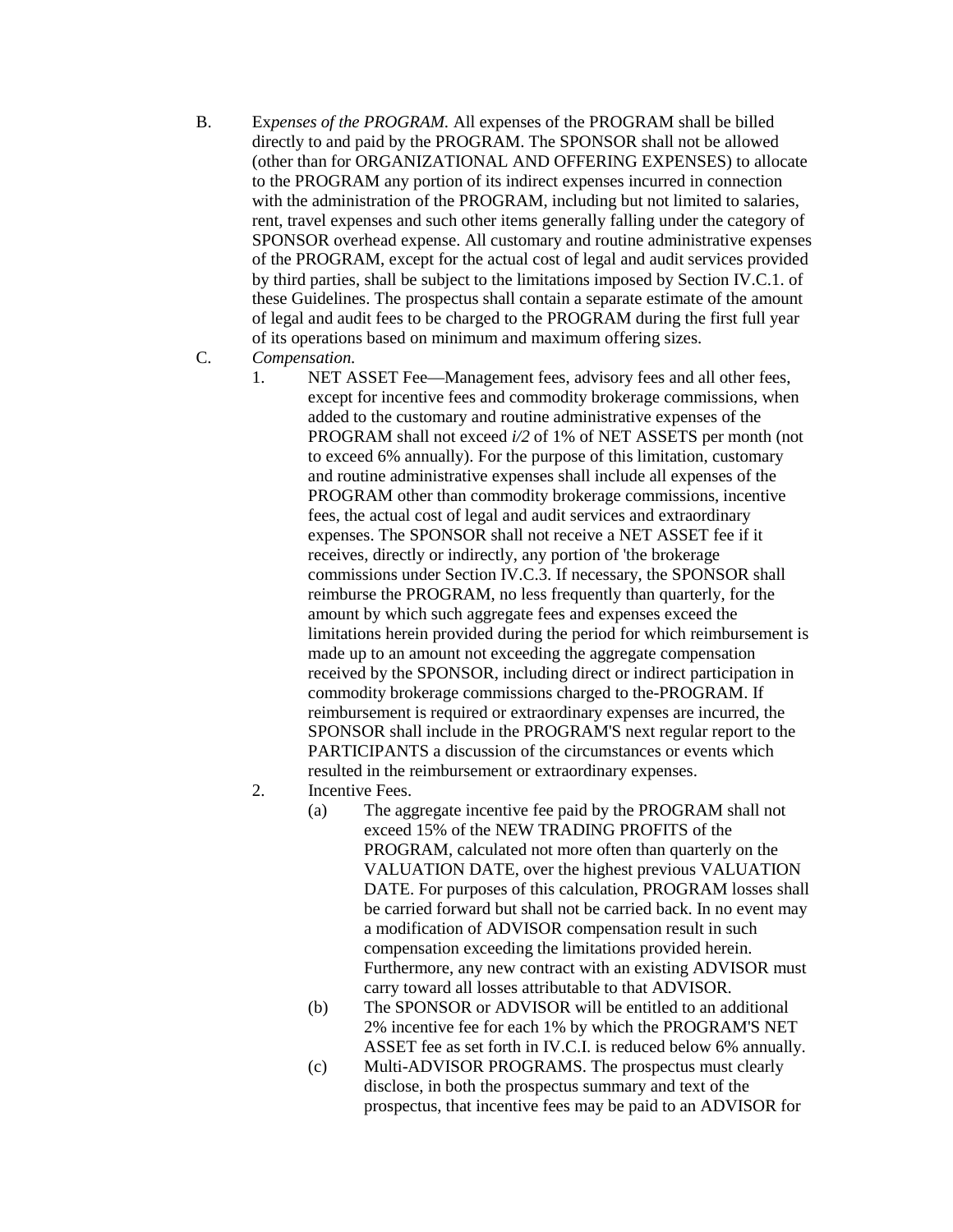- B. Ex*penses of the PROGRAM.* All expenses of the PROGRAM shall be billed directly to and paid by the PROGRAM. The SPONSOR shall not be allowed (other than for ORGANIZATIONAL AND OFFERING EXPENSES) to allocate to the PROGRAM any portion of its indirect expenses incurred in connection with the administration of the PROGRAM, including but not limited to salaries, rent, travel expenses and such other items generally falling under the category of SPONSOR overhead expense. All customary and routine administrative expenses of the PROGRAM, except for the actual cost of legal and audit services provided by third parties, shall be subject to the limitations imposed by Section IV.C.1. of these Guidelines. The prospectus shall contain a separate estimate of the amount of legal and audit fees to be charged to the PROGRAM during the first full year of its operations based on minimum and maximum offering sizes.
- C. *Compensation.*
	- 1. NET ASSET Fee—Management fees, advisory fees and all other fees, except for incentive fees and commodity brokerage commissions, when added to the customary and routine administrative expenses of the PROGRAM shall not exceed *i/2* of 1% of NET ASSETS per month (not to exceed 6% annually). For the purpose of this limitation, customary and routine administrative expenses shall include all expenses of the PROGRAM other than commodity brokerage commissions, incentive fees, the actual cost of legal and audit services and extraordinary expenses. The SPONSOR shall not receive a NET ASSET fee if it receives, directly or indirectly, any portion of 'the brokerage commissions under Section IV.C.3. If necessary, the SPONSOR shall reimburse the PROGRAM, no less frequently than quarterly, for the amount by which such aggregate fees and expenses exceed the limitations herein provided during the period for which reimbursement is made up to an amount not exceeding the aggregate compensation received by the SPONSOR, including direct or indirect participation in commodity brokerage commissions charged to the-PROGRAM. If reimbursement is required or extraordinary expenses are incurred, the SPONSOR shall include in the PROGRAM'S next regular report to the PARTICIPANTS a discussion of the circumstances or events which resulted in the reimbursement or extraordinary expenses.
	- 2. Incentive Fees.
		- (a) The aggregate incentive fee paid by the PROGRAM shall not exceed 15% of the NEW TRADING PROFITS of the PROGRAM, calculated not more often than quarterly on the VALUATION DATE, over the highest previous VALUATION DATE. For purposes of this calculation, PROGRAM losses shall be carried forward but shall not be carried back. In no event may a modification of ADVISOR compensation result in such compensation exceeding the limitations provided herein. Furthermore, any new contract with an existing ADVISOR must carry toward all losses attributable to that ADVISOR.
		- (b) The SPONSOR or ADVISOR will be entitled to an additional 2% incentive fee for each 1% by which the PROGRAM'S NET ASSET fee as set forth in IV.C.I. is reduced below 6% annually.
		- (c) Multi-ADVISOR PROGRAMS. The prospectus must clearly disclose, in both the prospectus summary and text of the prospectus, that incentive fees may be paid to an ADVISOR for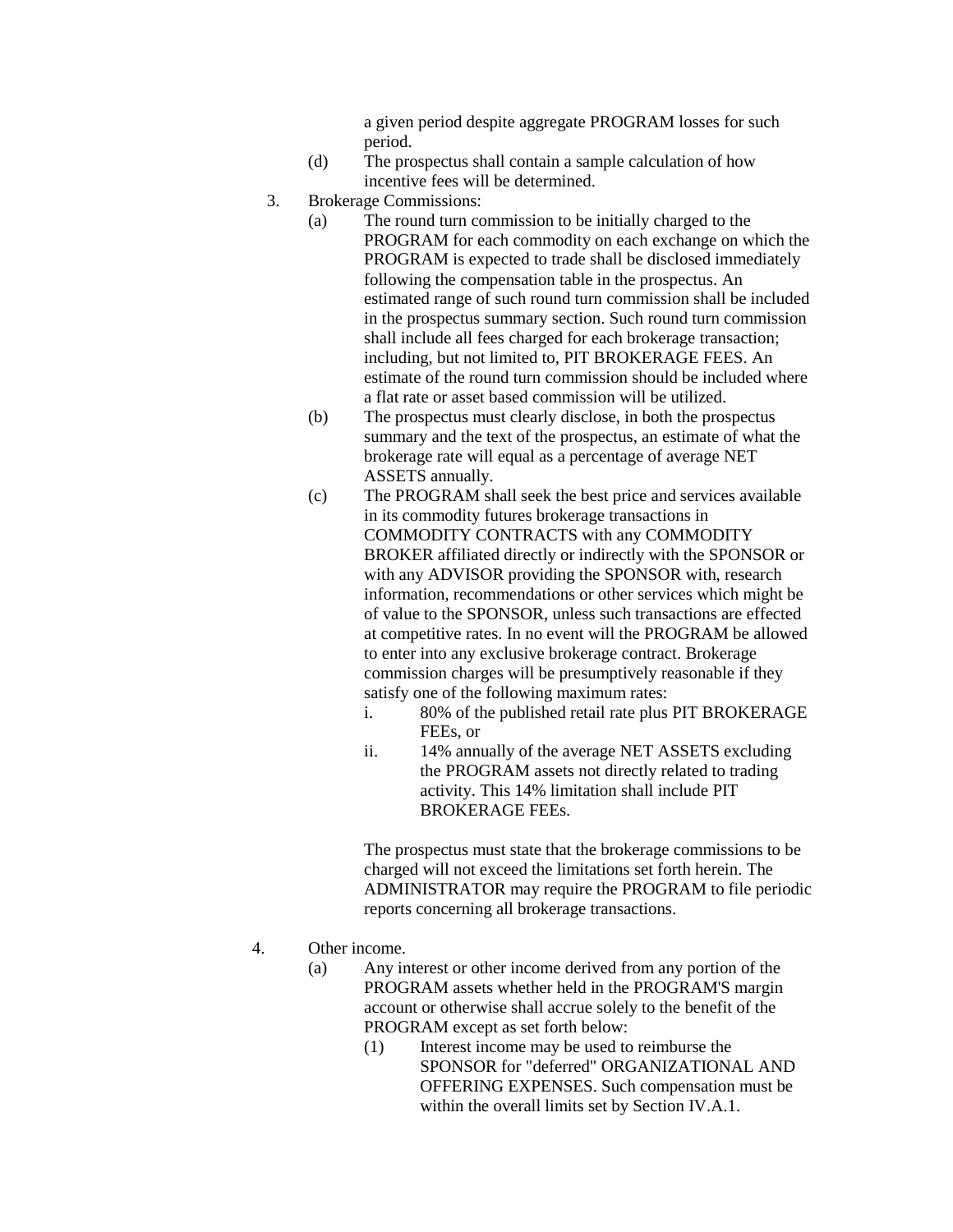a given period despite aggregate PROGRAM losses for such period.

- (d) The prospectus shall contain a sample calculation of how incentive fees will be determined.
- 3. Brokerage Commissions:
	- (a) The round turn commission to be initially charged to the PROGRAM for each commodity on each exchange on which the PROGRAM is expected to trade shall be disclosed immediately following the compensation table in the prospectus. An estimated range of such round turn commission shall be included in the prospectus summary section. Such round turn commission shall include all fees charged for each brokerage transaction; including, but not limited to, PIT BROKERAGE FEES. An estimate of the round turn commission should be included where a flat rate or asset based commission will be utilized.
	- (b) The prospectus must clearly disclose, in both the prospectus summary and the text of the prospectus, an estimate of what the brokerage rate will equal as a percentage of average NET ASSETS annually.
	- (c) The PROGRAM shall seek the best price and services available in its commodity futures brokerage transactions in COMMODITY CONTRACTS with any COMMODITY BROKER affiliated directly or indirectly with the SPONSOR or with any ADVISOR providing the SPONSOR with, research information, recommendations or other services which might be of value to the SPONSOR, unless such transactions are effected at competitive rates. In no event will the PROGRAM be allowed to enter into any exclusive brokerage contract. Brokerage commission charges will be presumptively reasonable if they satisfy one of the following maximum rates:
		- i. 80% of the published retail rate plus PIT BROKERAGE FEEs, or
		- ii. 14% annually of the average NET ASSETS excluding the PROGRAM assets not directly related to trading activity. This 14% limitation shall include PIT BROKERAGE FEEs.

The prospectus must state that the brokerage commissions to be charged will not exceed the limitations set forth herein. The ADMINISTRATOR may require the PROGRAM to file periodic reports concerning all brokerage transactions.

- 4. Other income.
	- (a) Any interest or other income derived from any portion of the PROGRAM assets whether held in the PROGRAM'S margin account or otherwise shall accrue solely to the benefit of the PROGRAM except as set forth below:
		- (1) Interest income may be used to reimburse the SPONSOR for "deferred" ORGANIZATIONAL AND OFFERING EXPENSES. Such compensation must be within the overall limits set by Section IV.A.1.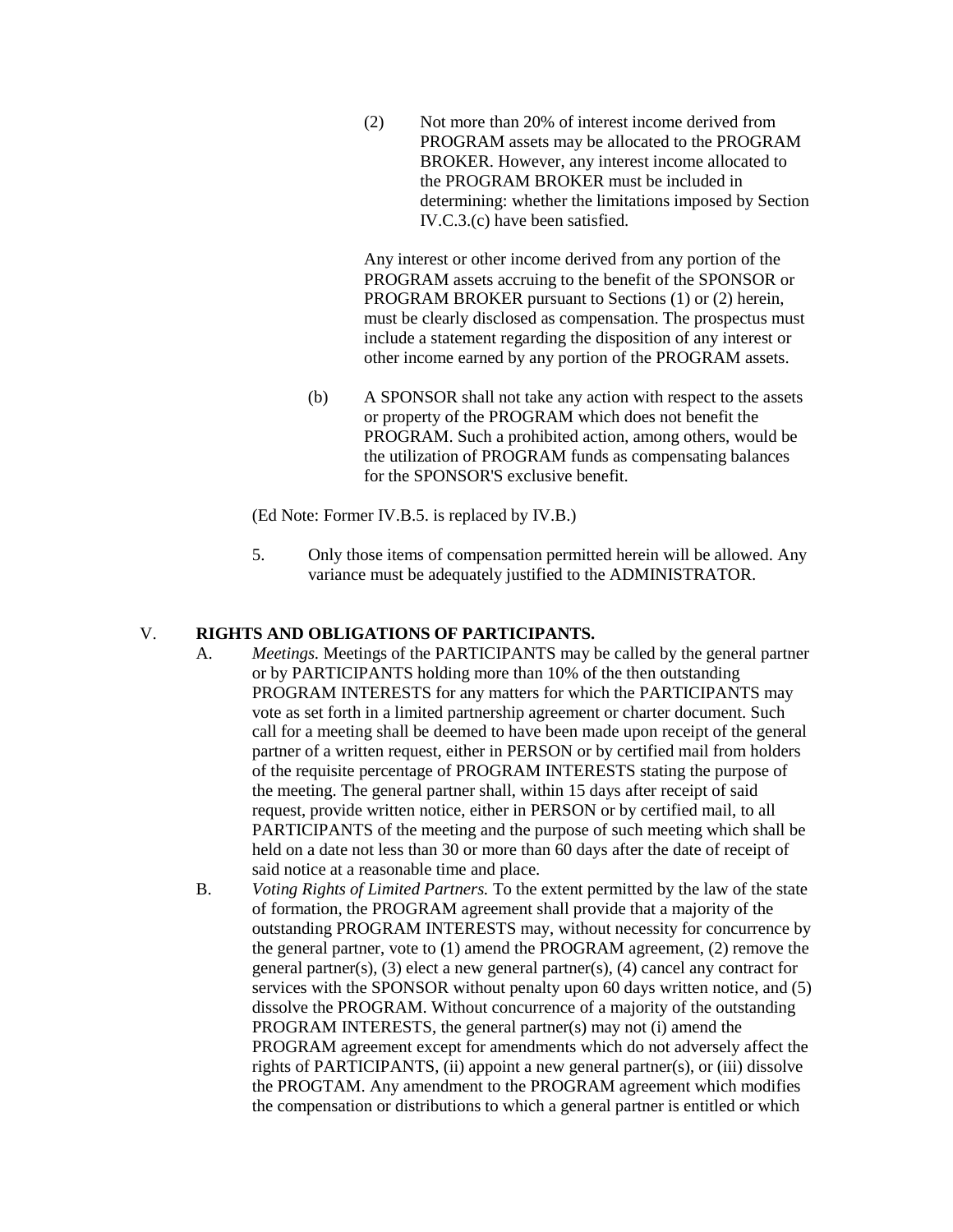(2) Not more than 20% of interest income derived from PROGRAM assets may be allocated to the PROGRAM BROKER. However, any interest income allocated to the PROGRAM BROKER must be included in determining: whether the limitations imposed by Section IV.C.3.(c) have been satisfied.

Any interest or other income derived from any portion of the PROGRAM assets accruing to the benefit of the SPONSOR or PROGRAM BROKER pursuant to Sections (1) or (2) herein, must be clearly disclosed as compensation. The prospectus must include a statement regarding the disposition of any interest or other income earned by any portion of the PROGRAM assets.

(b) A SPONSOR shall not take any action with respect to the assets or property of the PROGRAM which does not benefit the PROGRAM. Such a prohibited action, among others, would be the utilization of PROGRAM funds as compensating balances for the SPONSOR'S exclusive benefit.

(Ed Note: Former IV.B.5. is replaced by IV.B.)

5. Only those items of compensation permitted herein will be allowed. Any variance must be adequately justified to the ADMINISTRATOR.

#### V. **RIGHTS AND OBLIGATIONS OF PARTICIPANTS.**

- A. *Meetings.* Meetings of the PARTICIPANTS may be called by the general partner or by PARTICIPANTS holding more than 10% of the then outstanding PROGRAM INTERESTS for any matters for which the PARTICIPANTS may vote as set forth in a limited partnership agreement or charter document. Such call for a meeting shall be deemed to have been made upon receipt of the general partner of a written request, either in PERSON or by certified mail from holders of the requisite percentage of PROGRAM INTERESTS stating the purpose of the meeting. The general partner shall, within 15 days after receipt of said request, provide written notice, either in PERSON or by certified mail, to all PARTICIPANTS of the meeting and the purpose of such meeting which shall be held on a date not less than 30 or more than 60 days after the date of receipt of said notice at a reasonable time and place.
- B. *Voting Rights of Limited Partners.* To the extent permitted by the law of the state of formation, the PROGRAM agreement shall provide that a majority of the outstanding PROGRAM INTERESTS may, without necessity for concurrence by the general partner, vote to (1) amend the PROGRAM agreement, (2) remove the general partner(s), (3) elect a new general partner(s), (4) cancel any contract for services with the SPONSOR without penalty upon 60 days written notice, and (5) dissolve the PROGRAM. Without concurrence of a majority of the outstanding PROGRAM INTERESTS, the general partner(s) may not (i) amend the PROGRAM agreement except for amendments which do not adversely affect the rights of PARTICIPANTS, (ii) appoint a new general partner(s), or (iii) dissolve the PROGTAM. Any amendment to the PROGRAM agreement which modifies the compensation or distributions to which a general partner is entitled or which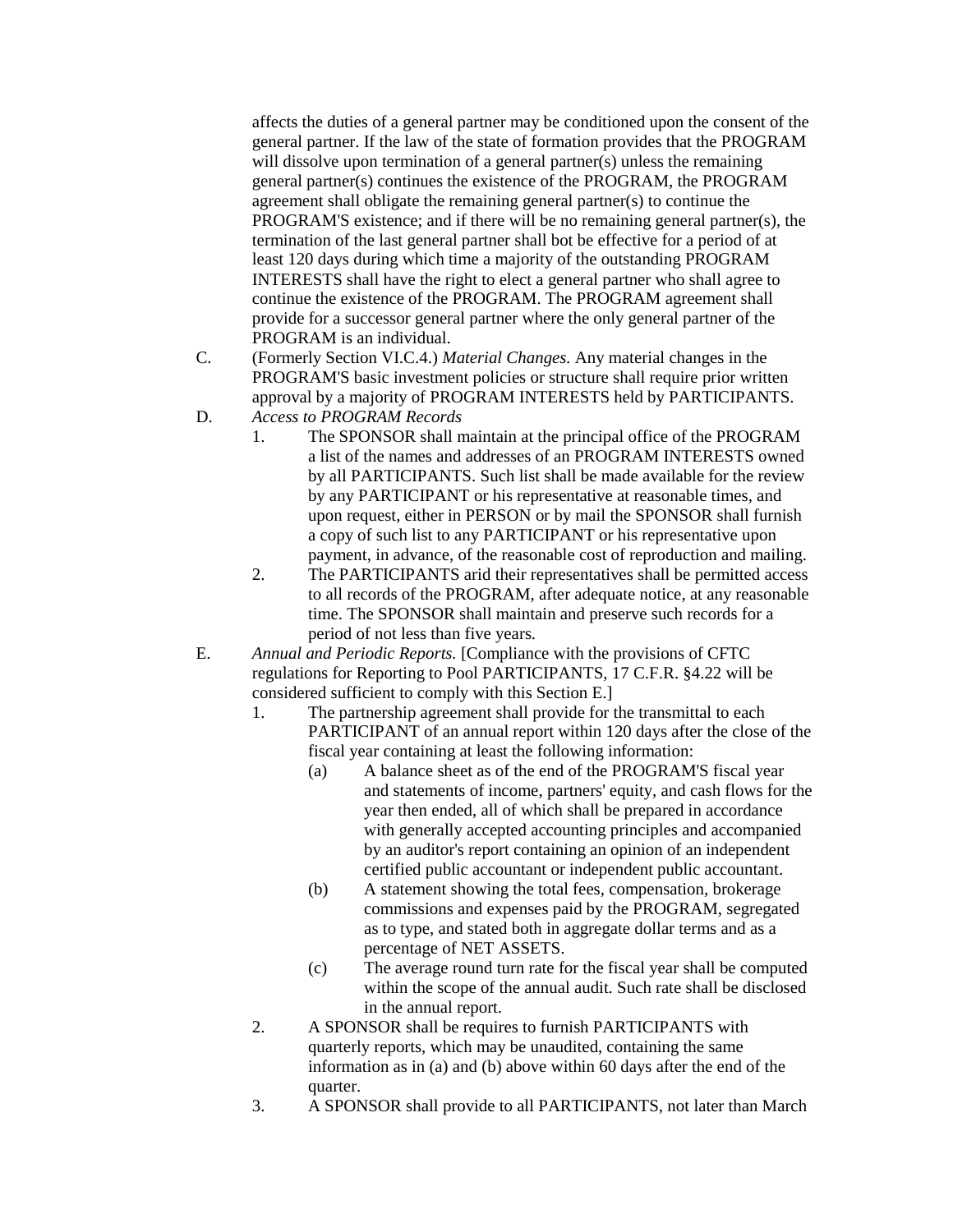affects the duties of a general partner may be conditioned upon the consent of the general partner. If the law of the state of formation provides that the PROGRAM will dissolve upon termination of a general partner(s) unless the remaining general partner(s) continues the existence of the PROGRAM, the PROGRAM agreement shall obligate the remaining general partner(s) to continue the PROGRAM'S existence; and if there will be no remaining general partner(s), the termination of the last general partner shall bot be effective for a period of at least 120 days during which time a majority of the outstanding PROGRAM INTERESTS shall have the right to elect a general partner who shall agree to continue the existence of the PROGRAM. The PROGRAM agreement shall provide for a successor general partner where the only general partner of the PROGRAM is an individual.

- C. (Formerly Section VI.C.4.) *Material Changes.* Any material changes in the PROGRAM'S basic investment policies or structure shall require prior written approval by a majority of PROGRAM INTERESTS held by PARTICIPANTS.
- D. *Access to PROGRAM Records*
	- 1. The SPONSOR shall maintain at the principal office of the PROGRAM a list of the names and addresses of an PROGRAM INTERESTS owned by all PARTICIPANTS. Such list shall be made available for the review by any PARTICIPANT or his representative at reasonable times, and upon request, either in PERSON or by mail the SPONSOR shall furnish a copy of such list to any PARTICIPANT or his representative upon payment, in advance, of the reasonable cost of reproduction and mailing.
	- 2. The PARTICIPANTS arid their representatives shall be permitted access to all records of the PROGRAM, after adequate notice, at any reasonable time. The SPONSOR shall maintain and preserve such records for a period of not less than five years.
- E. *Annual and Periodic Reports.* [Compliance with the provisions of CFTC regulations for Reporting to Pool PARTICIPANTS, 17 C.F.R. §4.22 will be considered sufficient to comply with this Section E.]
	- 1. The partnership agreement shall provide for the transmittal to each PARTICIPANT of an annual report within 120 days after the close of the fiscal year containing at least the following information:
		- (a) A balance sheet as of the end of the PROGRAM'S fiscal year and statements of income, partners' equity, and cash flows for the year then ended, all of which shall be prepared in accordance with generally accepted accounting principles and accompanied by an auditor's report containing an opinion of an independent certified public accountant or independent public accountant.
		- (b) A statement showing the total fees, compensation, brokerage commissions and expenses paid by the PROGRAM, segregated as to type, and stated both in aggregate dollar terms and as a percentage of NET ASSETS.
		- (c) The average round turn rate for the fiscal year shall be computed within the scope of the annual audit. Such rate shall be disclosed in the annual report.
	- 2. A SPONSOR shall be requires to furnish PARTICIPANTS with quarterly reports, which may be unaudited, containing the same information as in (a) and (b) above within 60 days after the end of the quarter.
	- 3. A SPONSOR shall provide to all PARTICIPANTS, not later than March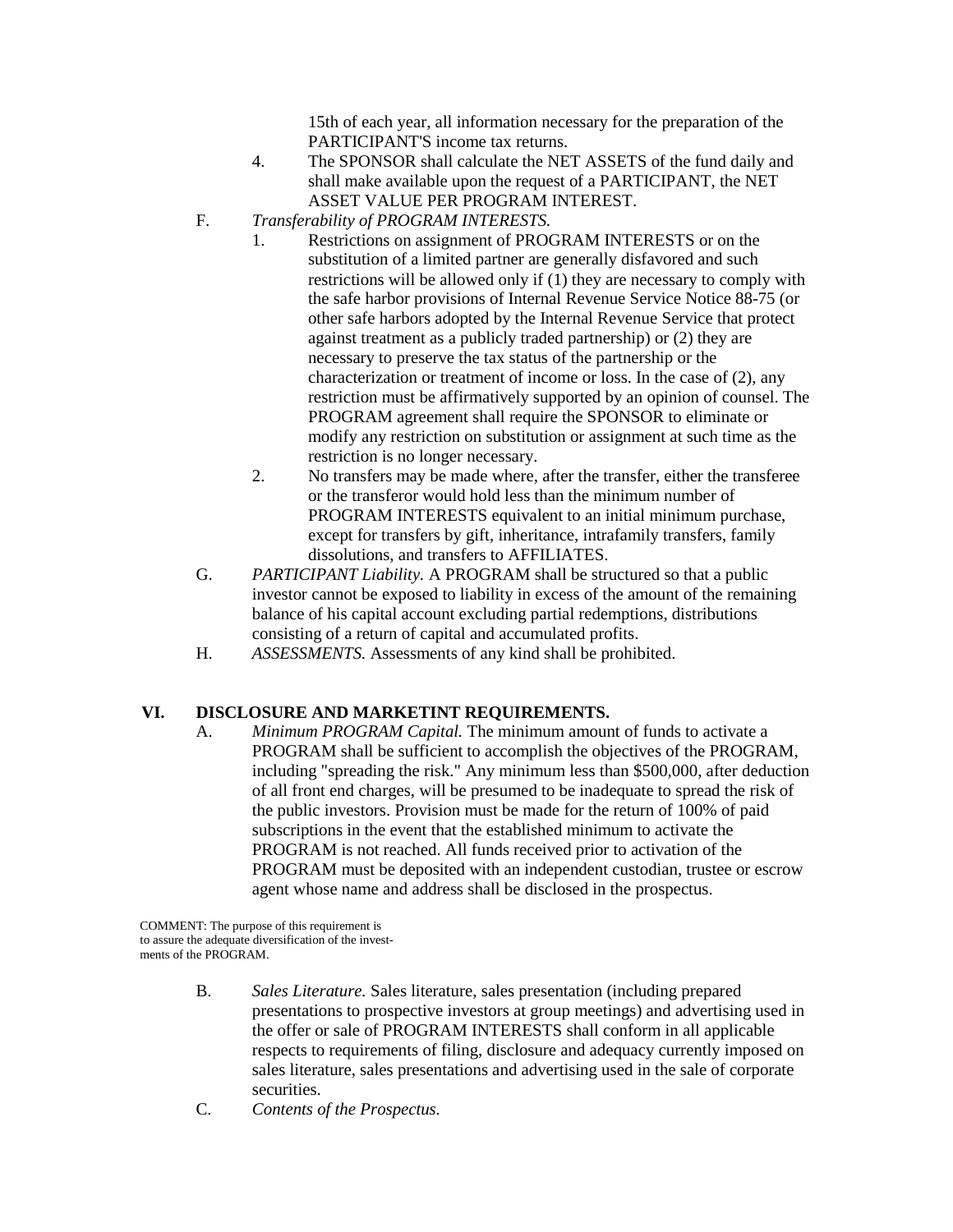15th of each year, all information necessary for the preparation of the PARTICIPANT'S income tax returns.

- 4. The SPONSOR shall calculate the NET ASSETS of the fund daily and shall make available upon the request of a PARTICIPANT, the NET ASSET VALUE PER PROGRAM INTEREST.
- F. *Transferability of PROGRAM INTERESTS.*
	- 1. Restrictions on assignment of PROGRAM INTERESTS or on the substitution of a limited partner are generally disfavored and such restrictions will be allowed only if (1) they are necessary to comply with the safe harbor provisions of Internal Revenue Service Notice 88-75 (or other safe harbors adopted by the Internal Revenue Service that protect against treatment as a publicly traded partnership) or (2) they are necessary to preserve the tax status of the partnership or the characterization or treatment of income or loss. In the case of (2), any restriction must be affirmatively supported by an opinion of counsel. The PROGRAM agreement shall require the SPONSOR to eliminate or modify any restriction on substitution or assignment at such time as the restriction is no longer necessary.
	- 2. No transfers may be made where, after the transfer, either the transferee or the transferor would hold less than the minimum number of PROGRAM INTERESTS equivalent to an initial minimum purchase, except for transfers by gift, inheritance, intrafamily transfers, family dissolutions, and transfers to AFFILIATES.
- G. *PARTICIPANT Liability.* A PROGRAM shall be structured so that a public investor cannot be exposed to liability in excess of the amount of the remaining balance of his capital account excluding partial redemptions, distributions consisting of a return of capital and accumulated profits.
- H. *ASSESSMENTS.* Assessments of any kind shall be prohibited.

#### **VI. DISCLOSURE AND MARKETINT REQUIREMENTS.**

A. *Minimum PROGRAM Capital.* The minimum amount of funds to activate a PROGRAM shall be sufficient to accomplish the objectives of the PROGRAM, including "spreading the risk." Any minimum less than \$500,000, after deduction of all front end charges, will be presumed to be inadequate to spread the risk of the public investors. Provision must be made for the return of 100% of paid subscriptions in the event that the established minimum to activate the PROGRAM is not reached. All funds received prior to activation of the PROGRAM must be deposited with an independent custodian, trustee or escrow agent whose name and address shall be disclosed in the prospectus.

COMMENT: The purpose of this requirement is to assure the adequate diversification of the investments of the PROGRAM.

- B. *Sales Literature.* Sales literature, sales presentation (including prepared presentations to prospective investors at group meetings) and advertising used in the offer or sale of PROGRAM INTERESTS shall conform in all applicable respects to requirements of filing, disclosure and adequacy currently imposed on sales literature, sales presentations and advertising used in the sale of corporate securities.
- C. *Contents of the Prospectus.*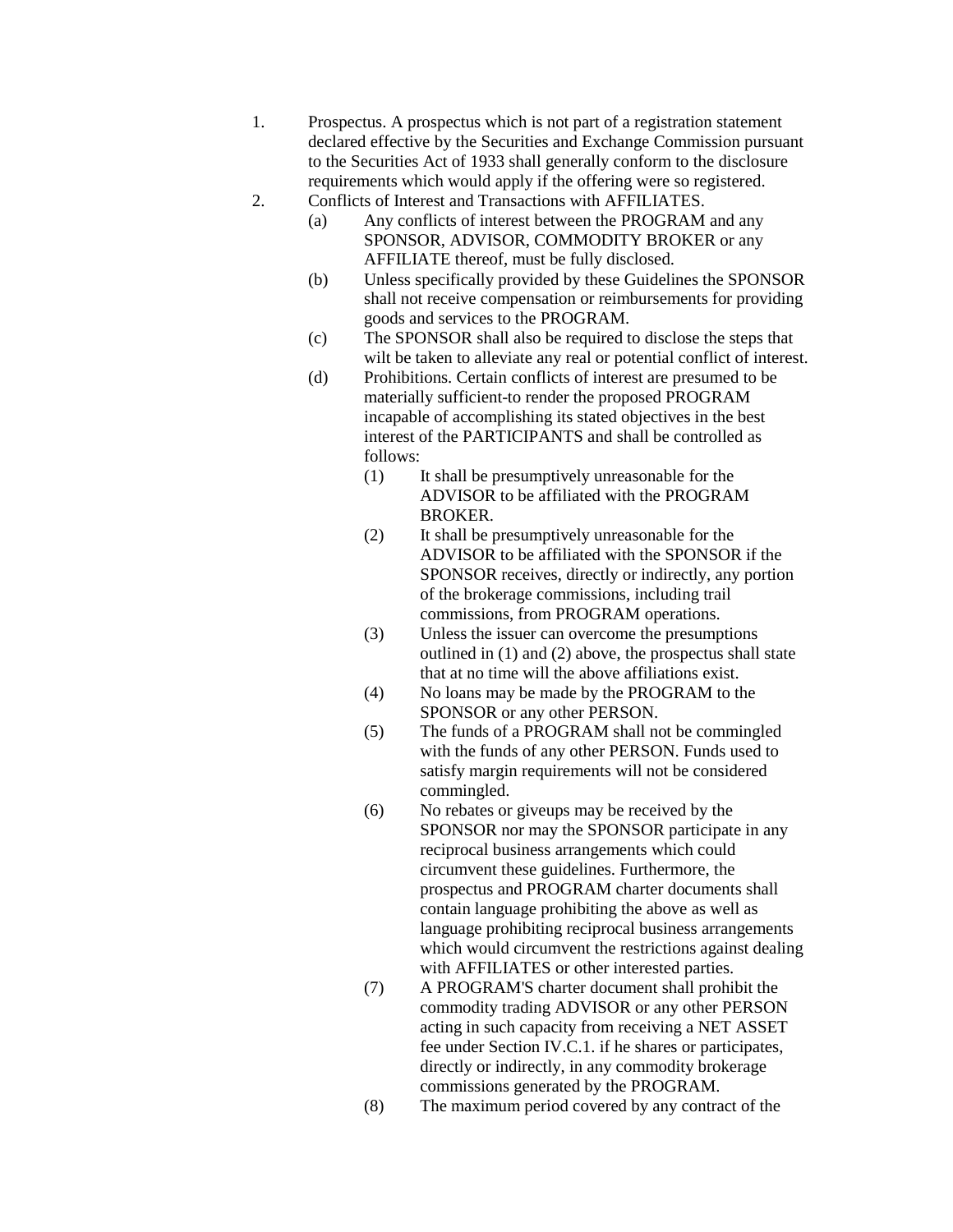- 1. Prospectus. A prospectus which is not part of a registration statement declared effective by the Securities and Exchange Commission pursuant to the Securities Act of 1933 shall generally conform to the disclosure requirements which would apply if the offering were so registered.
- 2. Conflicts of Interest and Transactions with AFFILIATES.
	- (a) Any conflicts of interest between the PROGRAM and any SPONSOR, ADVISOR, COMMODITY BROKER or any AFFILIATE thereof, must be fully disclosed.
		- (b) Unless specifically provided by these Guidelines the SPONSOR shall not receive compensation or reimbursements for providing goods and services to the PROGRAM.
		- (c) The SPONSOR shall also be required to disclose the steps that wilt be taken to alleviate any real or potential conflict of interest.
		- (d) Prohibitions. Certain conflicts of interest are presumed to be materially sufficient-to render the proposed PROGRAM incapable of accomplishing its stated objectives in the best interest of the PARTICIPANTS and shall be controlled as follows:
			- (1) It shall be presumptively unreasonable for the ADVISOR to be affiliated with the PROGRAM BROKER.
			- (2) It shall be presumptively unreasonable for the ADVISOR to be affiliated with the SPONSOR if the SPONSOR receives, directly or indirectly, any portion of the brokerage commissions, including trail commissions, from PROGRAM operations.
			- (3) Unless the issuer can overcome the presumptions outlined in (1) and (2) above, the prospectus shall state that at no time will the above affiliations exist.
			- (4) No loans may be made by the PROGRAM to the SPONSOR or any other PERSON.
			- (5) The funds of a PROGRAM shall not be commingled with the funds of any other PERSON. Funds used to satisfy margin requirements will not be considered commingled.
			- (6) No rebates or giveups may be received by the SPONSOR nor may the SPONSOR participate in any reciprocal business arrangements which could circumvent these guidelines. Furthermore, the prospectus and PROGRAM charter documents shall contain language prohibiting the above as well as language prohibiting reciprocal business arrangements which would circumvent the restrictions against dealing with AFFILIATES or other interested parties.
			- (7) A PROGRAM'S charter document shall prohibit the commodity trading ADVISOR or any other PERSON acting in such capacity from receiving a NET ASSET fee under Section IV.C.1. if he shares or participates, directly or indirectly, in any commodity brokerage commissions generated by the PROGRAM.
			- (8) The maximum period covered by any contract of the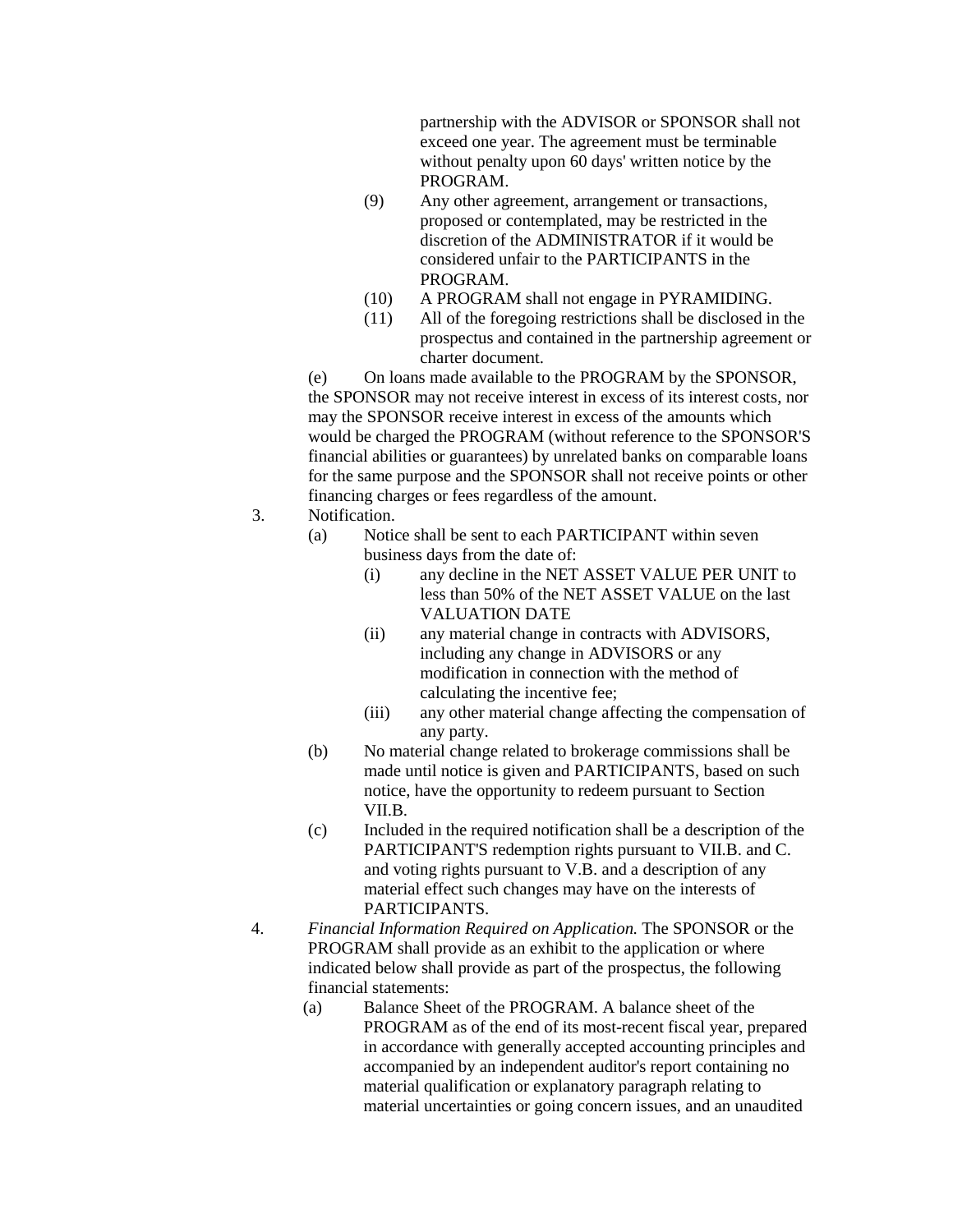partnership with the ADVISOR or SPONSOR shall not exceed one year. The agreement must be terminable without penalty upon 60 days' written notice by the PROGRAM.

- (9) Any other agreement, arrangement or transactions, proposed or contemplated, may be restricted in the discretion of the ADMINISTRATOR if it would be considered unfair to the PARTICIPANTS in the PROGRAM.
- (10) A PROGRAM shall not engage in PYRAMIDING.
- (11) All of the foregoing restrictions shall be disclosed in the prospectus and contained in the partnership agreement or charter document.

(e) On loans made available to the PROGRAM by the SPONSOR, the SPONSOR may not receive interest in excess of its interest costs, nor may the SPONSOR receive interest in excess of the amounts which would be charged the PROGRAM (without reference to the SPONSOR'S financial abilities or guarantees) by unrelated banks on comparable loans for the same purpose and the SPONSOR shall not receive points or other financing charges or fees regardless of the amount.

- 3. Notification.
	- (a) Notice shall be sent to each PARTICIPANT within seven business days from the date of:
		- (i) any decline in the NET ASSET VALUE PER UNIT to less than 50% of the NET ASSET VALUE on the last VALUATION DATE
		- (ii) any material change in contracts with ADVISORS, including any change in ADVISORS or any modification in connection with the method of calculating the incentive fee;
		- (iii) any other material change affecting the compensation of any party.
	- (b) No material change related to brokerage commissions shall be made until notice is given and PARTICIPANTS, based on such notice, have the opportunity to redeem pursuant to Section VII.B.
	- (c) Included in the required notification shall be a description of the PARTICIPANT'S redemption rights pursuant to VII.B. and C. and voting rights pursuant to V.B. and a description of any material effect such changes may have on the interests of PARTICIPANTS.
- 4. *Financial Information Required on Application.* The SPONSOR or the PROGRAM shall provide as an exhibit to the application or where indicated below shall provide as part of the prospectus, the following financial statements:
	- (a) Balance Sheet of the PROGRAM. A balance sheet of the PROGRAM as of the end of its most-recent fiscal year, prepared in accordance with generally accepted accounting principles and accompanied by an independent auditor's report containing no material qualification or explanatory paragraph relating to material uncertainties or going concern issues, and an unaudited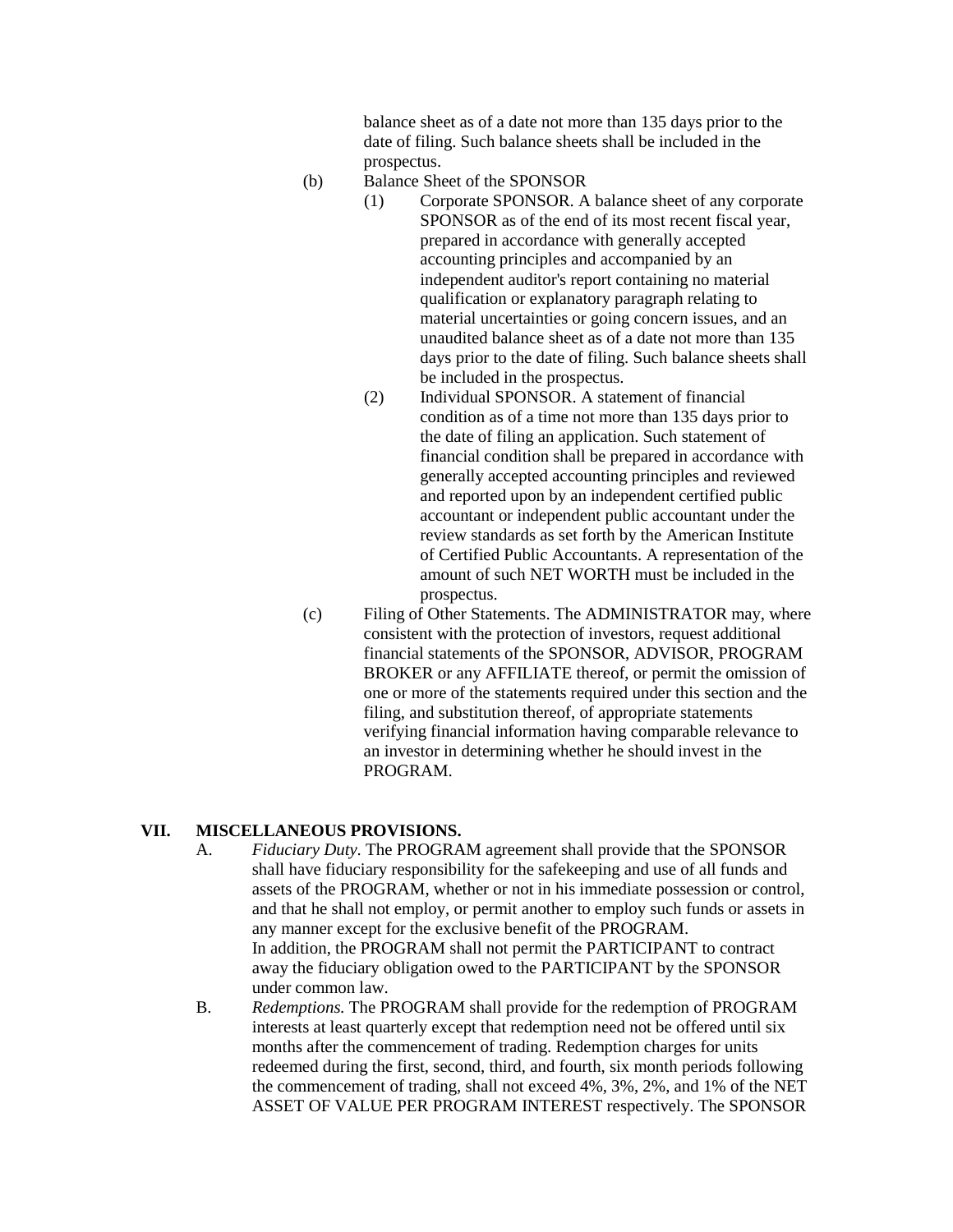balance sheet as of a date not more than 135 days prior to the date of filing. Such balance sheets shall be included in the prospectus.

- 
- (b) Balance Sheet of the SPONSOR
	- (1) Corporate SPONSOR. A balance sheet of any corporate SPONSOR as of the end of its most recent fiscal year, prepared in accordance with generally accepted accounting principles and accompanied by an independent auditor's report containing no material qualification or explanatory paragraph relating to material uncertainties or going concern issues, and an unaudited balance sheet as of a date not more than 135 days prior to the date of filing. Such balance sheets shall be included in the prospectus.
	- (2) Individual SPONSOR. A statement of financial condition as of a time not more than 135 days prior to the date of filing an application. Such statement of financial condition shall be prepared in accordance with generally accepted accounting principles and reviewed and reported upon by an independent certified public accountant or independent public accountant under the review standards as set forth by the American Institute of Certified Public Accountants. A representation of the amount of such NET WORTH must be included in the prospectus.
- (c) Filing of Other Statements. The ADMINISTRATOR may, where consistent with the protection of investors, request additional financial statements of the SPONSOR, ADVISOR, PROGRAM BROKER or any AFFILIATE thereof, or permit the omission of one or more of the statements required under this section and the filing, and substitution thereof, of appropriate statements verifying financial information having comparable relevance to an investor in determining whether he should invest in the PROGRAM.

#### **VII. MISCELLANEOUS PROVISIONS.**

- A. *Fiduciary Duty.* The PROGRAM agreement shall provide that the SPONSOR shall have fiduciary responsibility for the safekeeping and use of all funds and assets of the PROGRAM, whether or not in his immediate possession or control, and that he shall not employ, or permit another to employ such funds or assets in any manner except for the exclusive benefit of the PROGRAM. In addition, the PROGRAM shall not permit the PARTICIPANT to contract away the fiduciary obligation owed to the PARTICIPANT by the SPONSOR under common law.
- B. *Redemptions.* The PROGRAM shall provide for the redemption of PROGRAM interests at least quarterly except that redemption need not be offered until six months after the commencement of trading. Redemption charges for units redeemed during the first, second, third, and fourth, six month periods following the commencement of trading, shall not exceed 4%, 3%, 2%, and 1% of the NET ASSET OF VALUE PER PROGRAM INTEREST respectively. The SPONSOR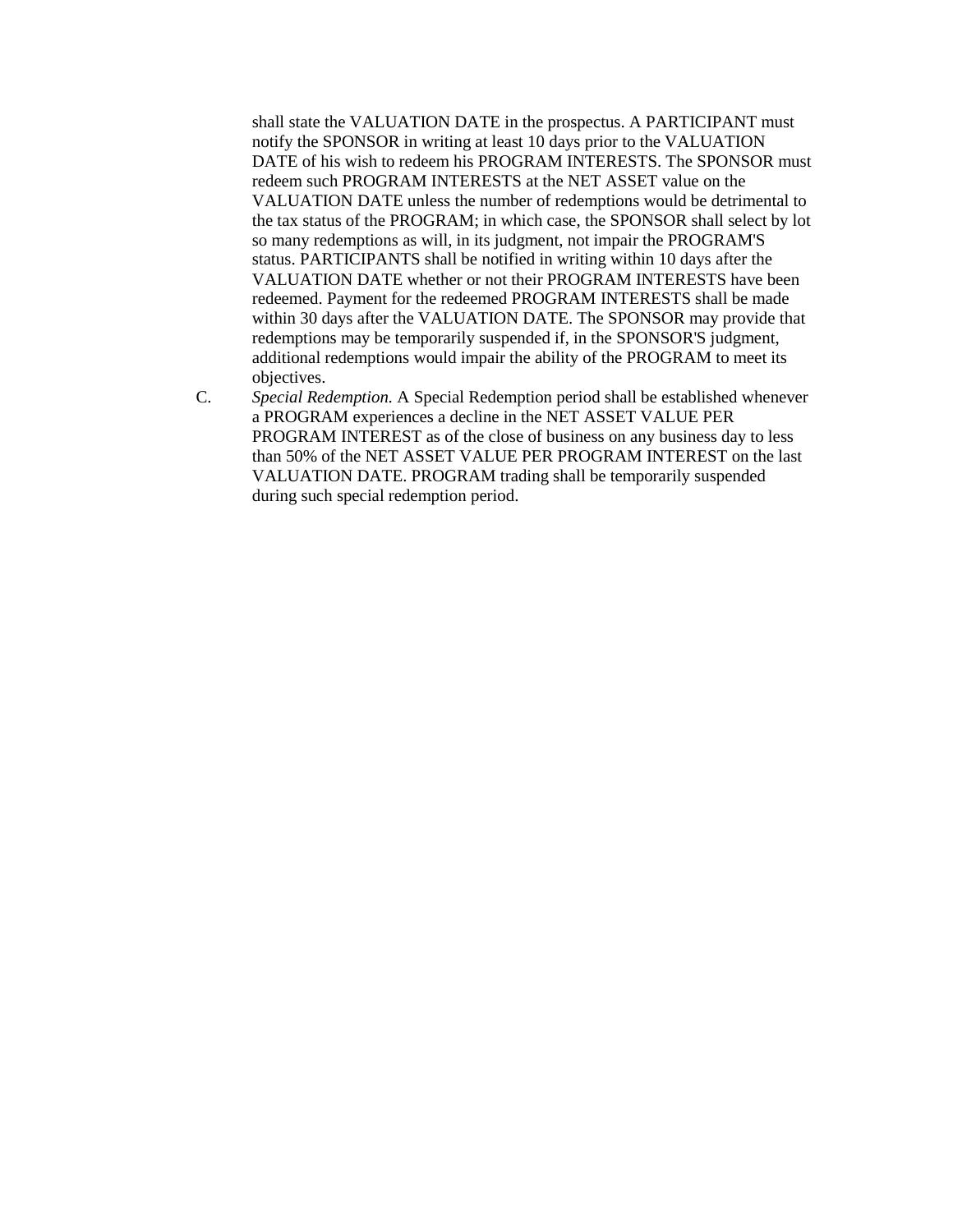shall state the VALUATION DATE in the prospectus. A PARTICIPANT must notify the SPONSOR in writing at least 10 days prior to the VALUATION DATE of his wish to redeem his PROGRAM INTERESTS. The SPONSOR must redeem such PROGRAM INTERESTS at the NET ASSET value on the VALUATION DATE unless the number of redemptions would be detrimental to the tax status of the PROGRAM; in which case, the SPONSOR shall select by lot so many redemptions as will, in its judgment, not impair the PROGRAM'S status. PARTICIPANTS shall be notified in writing within 10 days after the VALUATION DATE whether or not their PROGRAM INTERESTS have been redeemed. Payment for the redeemed PROGRAM INTERESTS shall be made within 30 days after the VALUATION DATE. The SPONSOR may provide that redemptions may be temporarily suspended if, in the SPONSOR'S judgment, additional redemptions would impair the ability of the PROGRAM to meet its objectives.

C. *Special Redemption.* A Special Redemption period shall be established whenever a PROGRAM experiences a decline in the NET ASSET VALUE PER PROGRAM INTEREST as of the close of business on any business day to less than 50% of the NET ASSET VALUE PER PROGRAM INTEREST on the last VALUATION DATE. PROGRAM trading shall be temporarily suspended during such special redemption period.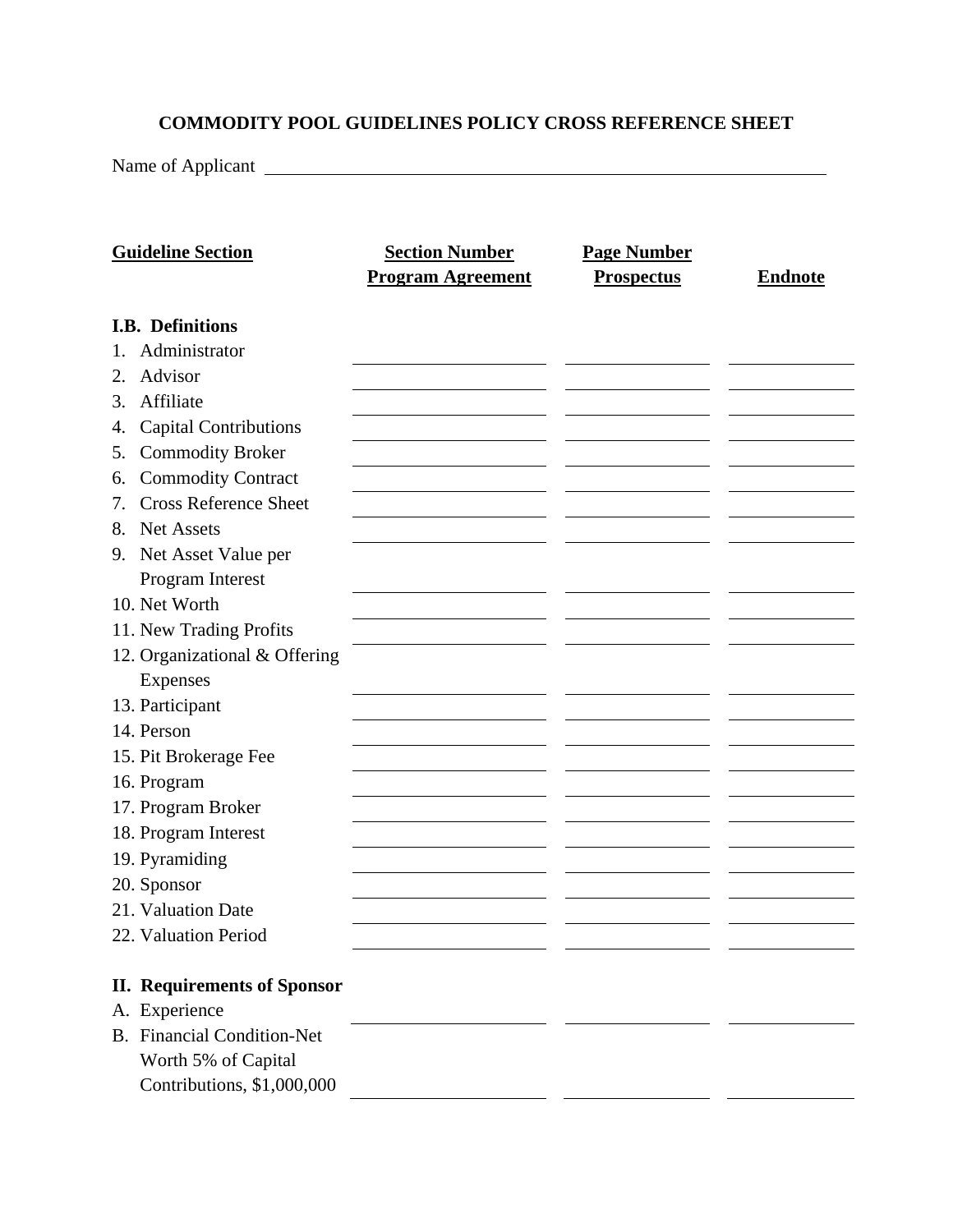## **COMMODITY POOL GUIDELINES POLICY CROSS REFERENCE SHEET**

Name of Applicant

| <b>Guideline Section</b>           | <b>Section Number</b><br><b>Program Agreement</b> | <b>Page Number</b><br><b>Prospectus</b> | <b>Endnote</b> |
|------------------------------------|---------------------------------------------------|-----------------------------------------|----------------|
| I.B. Definitions                   |                                                   |                                         |                |
| Administrator<br>1.                |                                                   |                                         |                |
| Advisor<br>2.                      |                                                   |                                         |                |
| Affiliate<br>3.                    |                                                   |                                         |                |
| <b>Capital Contributions</b><br>4. |                                                   |                                         |                |
| <b>Commodity Broker</b><br>5.      |                                                   |                                         |                |
| <b>Commodity Contract</b><br>6.    |                                                   |                                         |                |
| <b>Cross Reference Sheet</b><br>7. |                                                   |                                         |                |
| <b>Net Assets</b><br>8.            |                                                   |                                         |                |
| 9. Net Asset Value per             |                                                   |                                         |                |
| Program Interest                   |                                                   |                                         |                |
| 10. Net Worth                      |                                                   |                                         |                |
| 11. New Trading Profits            |                                                   |                                         |                |
| 12. Organizational & Offering      |                                                   |                                         |                |
| Expenses                           |                                                   |                                         |                |
| 13. Participant                    |                                                   |                                         |                |
| 14. Person                         |                                                   |                                         |                |
| 15. Pit Brokerage Fee              |                                                   |                                         |                |
| 16. Program                        |                                                   |                                         |                |
| 17. Program Broker                 |                                                   |                                         |                |
| 18. Program Interest               |                                                   |                                         |                |
| 19. Pyramiding                     |                                                   |                                         |                |
| 20. Sponsor                        |                                                   |                                         |                |
| 21. Valuation Date                 |                                                   |                                         |                |
| 22. Valuation Period               |                                                   |                                         |                |
|                                    |                                                   |                                         |                |
| <b>II. Requirements of Sponsor</b> |                                                   |                                         |                |
| A. Experience                      |                                                   |                                         |                |
| <b>B.</b> Financial Condition-Net  |                                                   |                                         |                |
| Worth 5% of Capital                |                                                   |                                         |                |
| Contributions, \$1,000,000         |                                                   |                                         |                |
|                                    |                                                   |                                         |                |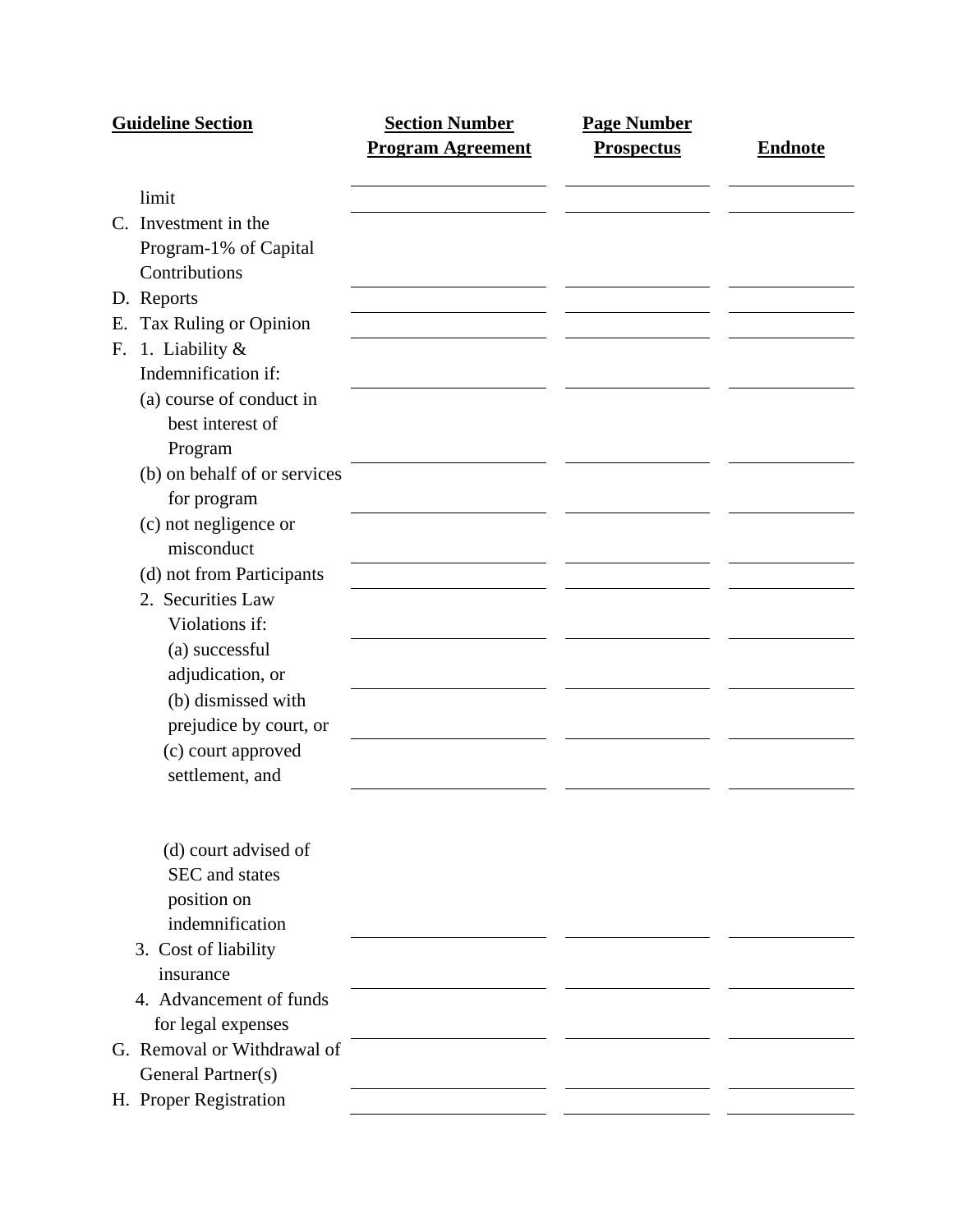|    | <b>Guideline Section</b>     | <b>Section Number</b>    | <b>Page Number</b> |                |
|----|------------------------------|--------------------------|--------------------|----------------|
|    |                              | <b>Program Agreement</b> | <b>Prospectus</b>  | <b>Endnote</b> |
|    | limit                        |                          |                    |                |
|    | C. Investment in the         |                          |                    |                |
|    | Program-1% of Capital        |                          |                    |                |
|    | Contributions                |                          |                    |                |
|    | D. Reports                   |                          |                    |                |
| Е. | Tax Ruling or Opinion        |                          |                    |                |
| F. | 1. Liability &               |                          |                    |                |
|    | Indemnification if:          |                          |                    |                |
|    | (a) course of conduct in     |                          |                    |                |
|    | best interest of             |                          |                    |                |
|    | Program                      |                          |                    |                |
|    | (b) on behalf of or services |                          |                    |                |
|    | for program                  |                          |                    |                |
|    | (c) not negligence or        |                          |                    |                |
|    | misconduct                   |                          |                    |                |
|    | (d) not from Participants    |                          |                    |                |
|    | 2. Securities Law            |                          |                    |                |
|    | Violations if:               |                          |                    |                |
|    | (a) successful               |                          |                    |                |
|    | adjudication, or             |                          |                    |                |
|    | (b) dismissed with           |                          |                    |                |
|    | prejudice by court, or       |                          |                    |                |
|    | (c) court approved           |                          |                    |                |
|    | settlement, and              |                          |                    |                |
|    |                              |                          |                    |                |
|    | (d) court advised of         |                          |                    |                |
|    | SEC and states               |                          |                    |                |
|    | position on                  |                          |                    |                |
|    | indemnification              |                          |                    |                |
|    | 3. Cost of liability         |                          |                    |                |
|    | insurance                    |                          |                    |                |
|    | 4. Advancement of funds      |                          |                    |                |
|    | for legal expenses           |                          |                    |                |
|    | G. Removal or Withdrawal of  |                          |                    |                |
|    | General Partner(s)           |                          |                    |                |
|    | H. Proper Registration       |                          |                    |                |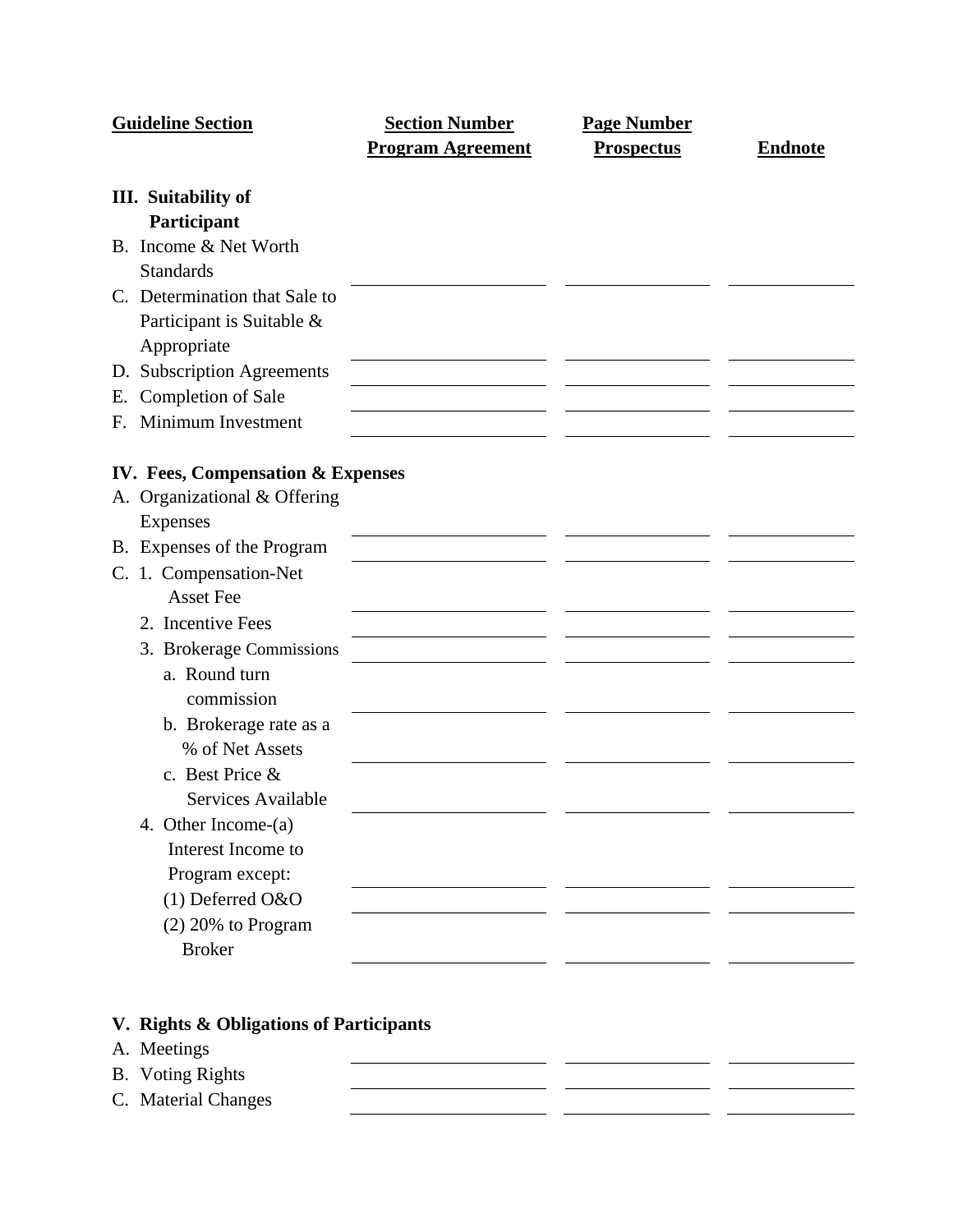|    | <b>Guideline Section</b>          | <b>Section Number</b>    | <b>Page Number</b> |                |
|----|-----------------------------------|--------------------------|--------------------|----------------|
|    |                                   | <b>Program Agreement</b> | <b>Prospectus</b>  | <b>Endnote</b> |
|    | <b>III.</b> Suitability of        |                          |                    |                |
|    | Participant                       |                          |                    |                |
|    | B. Income & Net Worth             |                          |                    |                |
|    | <b>Standards</b>                  |                          |                    |                |
|    | C. Determination that Sale to     |                          |                    |                |
|    | Participant is Suitable &         |                          |                    |                |
|    | Appropriate                       |                          |                    |                |
|    | D. Subscription Agreements        |                          |                    |                |
| Е. | Completion of Sale                |                          |                    |                |
| F. | Minimum Investment                |                          |                    |                |
|    |                                   |                          |                    |                |
|    | IV. Fees, Compensation & Expenses |                          |                    |                |
|    | A. Organizational & Offering      |                          |                    |                |
|    | <b>Expenses</b>                   |                          |                    |                |
|    | B. Expenses of the Program        |                          |                    |                |
|    | C. 1. Compensation-Net            |                          |                    |                |
|    | <b>Asset Fee</b>                  |                          |                    |                |
|    | 2. Incentive Fees                 |                          |                    |                |
|    | 3. Brokerage Commissions          |                          |                    |                |
|    | a. Round turn                     |                          |                    |                |
|    | commission                        |                          |                    |                |
|    | b. Brokerage rate as a            |                          |                    |                |
|    | % of Net Assets                   |                          |                    |                |
|    | c. Best Price &                   |                          |                    |                |
|    | Services Available                |                          |                    |                |
|    | 4. Other Income-(a)               |                          |                    |                |
|    | Interest Income to                |                          |                    |                |
|    | Program except:                   |                          |                    |                |
|    | (1) Deferred O&O                  |                          |                    |                |
|    | $(2)$ 20% to Program              |                          |                    |                |
|    | <b>Broker</b>                     |                          |                    |                |
|    |                                   |                          |                    |                |

# **V. Rights & Obligations of Participants**

A. Meetings <u> 1999 - Johann Barnett, f</u>  $\sim$ B. Voting Rights  $\mathbf{r}$ C. Material Changes  $\sim$  $\sim$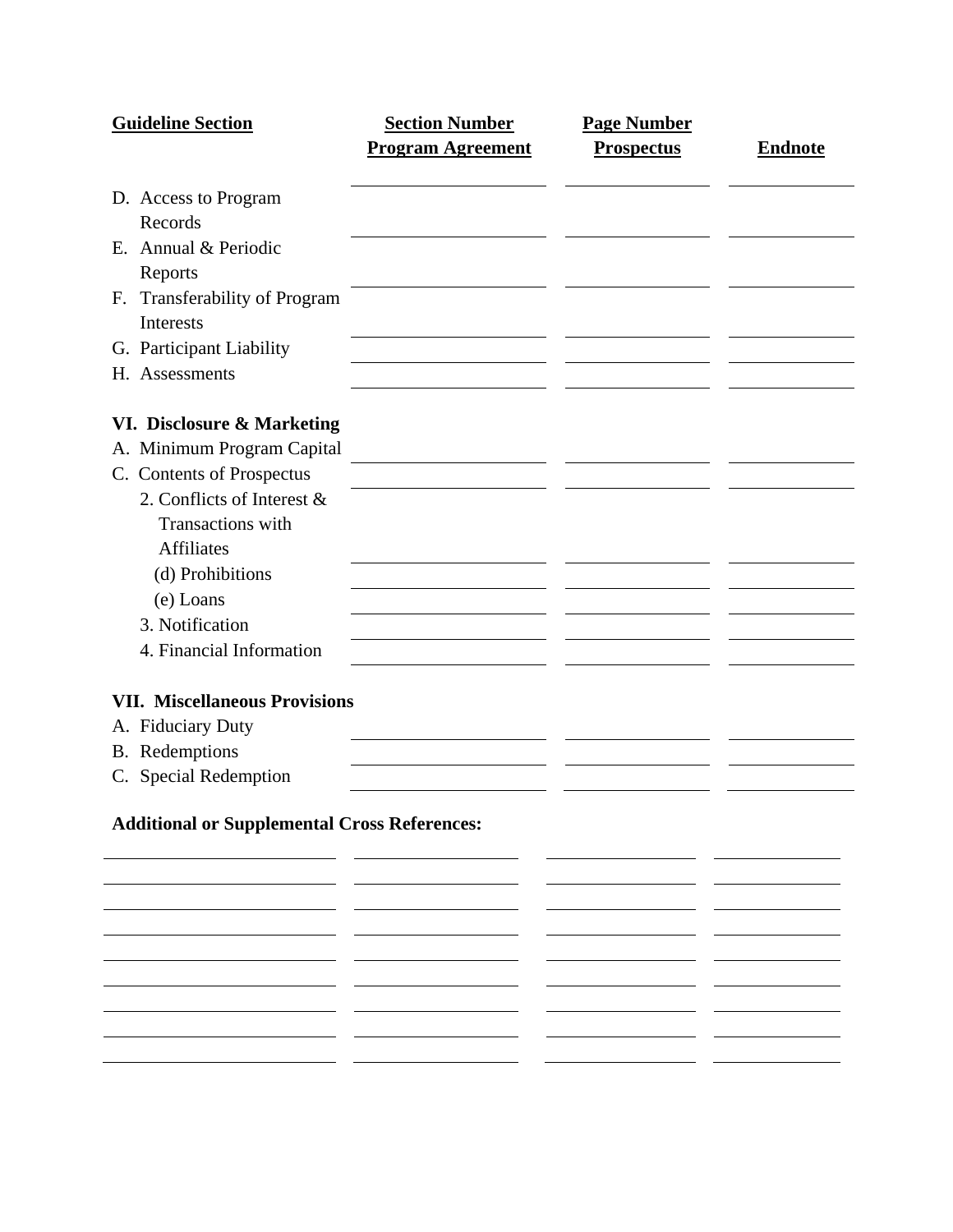| <b>Guideline Section</b>                            | <b>Section Number</b>    | <b>Page Number</b> |                |
|-----------------------------------------------------|--------------------------|--------------------|----------------|
|                                                     | <b>Program Agreement</b> | <b>Prospectus</b>  | <b>Endnote</b> |
| D. Access to Program                                |                          |                    |                |
| Records                                             |                          |                    |                |
| E. Annual & Periodic                                |                          |                    |                |
| Reports                                             |                          |                    |                |
| F. Transferability of Program                       |                          |                    |                |
| <b>Interests</b>                                    |                          |                    |                |
| G. Participant Liability                            |                          |                    |                |
| H. Assessments                                      |                          |                    |                |
| VI. Disclosure & Marketing                          |                          |                    |                |
| A. Minimum Program Capital                          |                          |                    |                |
| C. Contents of Prospectus                           |                          |                    |                |
| 2. Conflicts of Interest &                          |                          |                    |                |
| <b>Transactions</b> with                            |                          |                    |                |
| <b>Affiliates</b>                                   |                          |                    |                |
| (d) Prohibitions                                    |                          |                    |                |
| (e) Loans                                           |                          |                    |                |
| 3. Notification                                     |                          |                    |                |
| 4. Financial Information                            |                          |                    |                |
|                                                     |                          |                    |                |
| <b>VII. Miscellaneous Provisions</b>                |                          |                    |                |
| A. Fiduciary Duty<br>B. Redemptions                 |                          |                    |                |
| C. Special Redemption                               |                          |                    |                |
|                                                     |                          |                    |                |
| <b>Additional or Supplemental Cross References:</b> |                          |                    |                |
|                                                     |                          |                    |                |
|                                                     |                          |                    |                |
|                                                     |                          |                    |                |
|                                                     |                          |                    |                |
|                                                     |                          |                    |                |

— —  $\overline{\phantom{a}}$ — —  $\frac{1}{1}$   $\frac{1}{1}$   $\frac{1}{1}$   $\frac{1}{1}$   $\frac{1}{1}$   $\frac{1}{1}$   $\frac{1}{1}$   $\frac{1}{1}$   $\frac{1}{1}$   $\frac{1}{1}$   $\frac{1}{1}$   $\frac{1}{1}$   $\frac{1}{1}$   $\frac{1}{1}$   $\frac{1}{1}$   $\frac{1}{1}$   $\frac{1}{1}$   $\frac{1}{1}$   $\frac{1}{1}$   $\frac{1}{1}$   $\frac{1}{1}$   $\frac{1}{1}$   $\overline{\phantom{0}}$  $\overline{\phantom{a}}$ 

 $\sim$ 

 $-$ 

- -